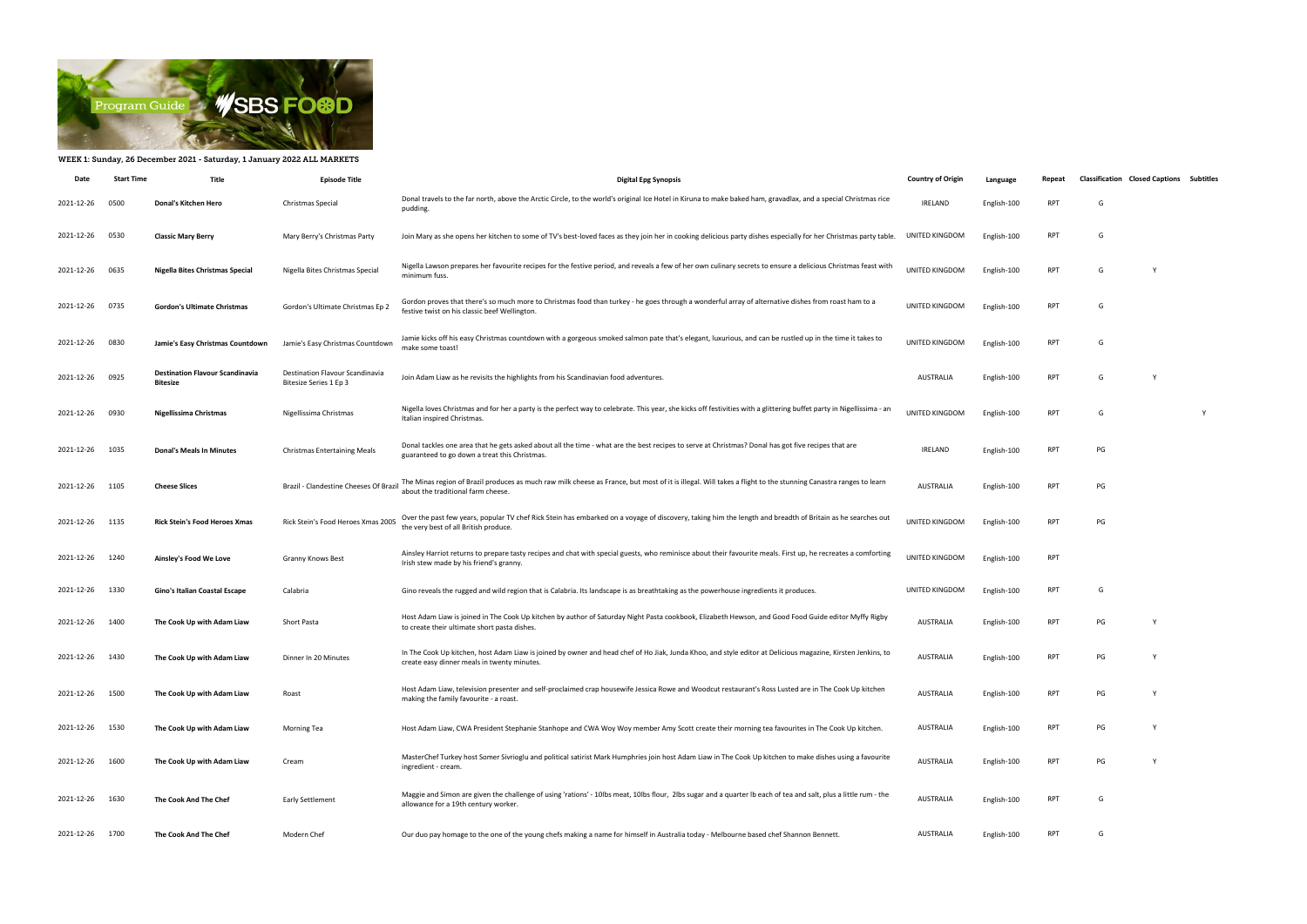

## WEEK 1: Sunday, 26 December 2021 - Saturday, 1 January 2022 ALL MARKETS

| Date            | <b>Start Time</b> | Title                                              | <b>Episode Title</b>                                      | <b>Digital Epg Synopsis</b>                                                                                                                                                                                | <b>Country of Origin</b> | Language    | Repeat     | <b>Classification Closed Captions Subtitles</b> |   |   |
|-----------------|-------------------|----------------------------------------------------|-----------------------------------------------------------|------------------------------------------------------------------------------------------------------------------------------------------------------------------------------------------------------------|--------------------------|-------------|------------|-------------------------------------------------|---|---|
| 2021-12-26      | 0500              | Donal's Kitchen Hero                               | Christmas Special                                         | Donal travels to the far north, above the Arctic Circle, to the world's original Ice Hotel in Kiruna to make baked ham, gravadlax, and a special Christmas rice<br>pudding.                                | <b>IRELAND</b>           | English-100 | <b>RPT</b> | G                                               |   |   |
| 2021-12-26      | 0530              | <b>Classic Mary Berry</b>                          | Mary Berry's Christmas Party                              | Join Mary as she opens her kitchen to some of TV's best-loved faces as they join her in cooking delicious party dishes especially for her Christmas party table.                                           | UNITED KINGDOM           | English-100 | <b>RPT</b> | G                                               |   |   |
| 2021-12-26      | 0635              | Nigella Bites Christmas Special                    | Nigella Bites Christmas Special                           | Nigella Lawson prepares her favourite recipes for the festive period, and reveals a few of her own culinary secrets to ensure a delicious Christmas feast with<br>minimum fuss.                            | UNITED KINGDOM           | English-100 | <b>RPT</b> | G                                               |   |   |
| 2021-12-26      | 0735              | Gordon's Ultimate Christmas                        | Gordon's Ultimate Christmas Ep 2                          | Gordon proves that there's so much more to Christmas food than turkey - he goes through a wonderful array of alternative dishes from roast ham to a<br>festive twist on his classic beef Wellington.       | UNITED KINGDOM           | English-100 | <b>RPT</b> | G                                               |   |   |
| 2021-12-26      | 0830              | Jamie's Easy Christmas Countdown                   | Jamie's Easy Christmas Countdown                          | Jamie kicks off his easy Christmas countdown with a gorgeous smoked salmon pate that's elegant, luxurious, and can be rustled up in the time it takes to<br>make some toast!                               | UNITED KINGDOM           | English-100 | <b>RPT</b> | G                                               |   |   |
| 2021-12-26 0925 |                   | <b>Destination Flavour Scandinavia</b><br>Bitesize | Destination Flavour Scandinavia<br>Bitesize Series 1 Ep 3 | Join Adam Liaw as he revisits the highlights from his Scandinavian food adventures.                                                                                                                        | <b>AUSTRALIA</b>         | English-100 | <b>RPT</b> | G                                               |   |   |
| 2021-12-26      | 0930              | Nigellissima Christmas                             | Nigellissima Christmas                                    | Nigella loves Christmas and for her a party is the perfect way to celebrate. This year, she kicks off festivities with a glittering buffet party in Nigellissima - an<br>Italian inspired Christmas.       | UNITED KINGDOM           | English-100 | <b>RPT</b> | G                                               |   | Y |
| 2021-12-26      | 1035              | <b>Donal's Meals In Minutes</b>                    | <b>Christmas Entertaining Meals</b>                       | Donal tackles one area that he gets asked about all the time - what are the best recipes to serve at Christmas? Donal has got five recipes that are<br>guaranteed to go down a treat this Christmas.       | <b>IRELAND</b>           | English-100 | <b>RPT</b> | PG                                              |   |   |
| 2021-12-26 1105 |                   | <b>Cheese Slices</b>                               | Brazil - Clandestine Cheeses Of Brazi                     | The Minas region of Brazil produces as much raw milk cheese as France, but most of it is illegal. Will takes a flight to the stunning Canastra ranges to learn<br>about the traditional farm cheese.       | <b>AUSTRALIA</b>         | English-100 | <b>RPT</b> | PG                                              |   |   |
| 2021-12-26 1135 |                   | <b>Rick Stein's Food Heroes Xmas</b>               | Rick Stein's Food Heroes Xmas 2005                        | Over the past few years, popular TV chef Rick Stein has embarked on a voyage of discovery, taking him the length and breadth of Britain as he searches out<br>the very best of all British produce.        | UNITED KINGDOM           | English-100 | <b>RPT</b> | PG                                              |   |   |
| 2021-12-26      | 1240              | Ainsley's Food We Love                             | <b>Granny Knows Best</b>                                  | Ainsley Harriot returns to prepare tasty recipes and chat with special guests, who reminisce about their favourite meals. First up, he recreates a comforting<br>Irish stew made by his friend's granny.   | UNITED KINGDOM           | English-100 | <b>RPT</b> |                                                 |   |   |
| 2021-12-26      | 1330              | Gino's Italian Coastal Escape                      | Calabria                                                  | Gino reveals the rugged and wild region that is Calabria. Its landscape is as breathtaking as the powerhouse ingredients it produces.                                                                      | UNITED KINGDOM           | English-100 | RPT        | G                                               |   |   |
| 2021-12-26 1400 |                   | The Cook Up with Adam Liaw                         | Short Pasta                                               | Host Adam Liaw is joined in The Cook Up kitchen by author of Saturday Night Pasta cookbook, Elizabeth Hewson, and Good Food Guide editor Myffy Rigby<br>to create their ultimate short pasta dishes.       | AUSTRALIA                | English-100 | <b>RPT</b> | PG                                              | Y |   |
| 2021-12-26      | 1430              | The Cook Up with Adam Liaw                         | Dinner In 20 Minutes                                      | In The Cook Up kitchen, host Adam Liaw is joined by owner and head chef of Ho Jiak, Junda Khoo, and style editor at Delicious magazine, Kirsten Jenkins, to<br>create easy dinner meals in twenty minutes. | <b>AUSTRALIA</b>         | English-100 | <b>RPT</b> | PG                                              |   |   |
| 2021-12-26      | 1500              | The Cook Up with Adam Liaw                         | Roast                                                     | Host Adam Liaw, television presenter and self-proclaimed crap housewife Jessica Rowe and Woodcut restaurant's Ross Lusted are in The Cook Up kitchen<br>making the family favourite - a roast.             | <b>AUSTRALIA</b>         | English-100 | RPT        | PG                                              | Y |   |
| 2021-12-26 1530 |                   | The Cook Up with Adam Liaw                         | Morning Tea                                               | Host Adam Liaw, CWA President Stephanie Stanhope and CWA Woy Woy member Amy Scott create their morning tea favourites in The Cook Up kitchen.                                                              | AUSTRALIA                | English-100 | <b>RPT</b> | PG                                              | Y |   |
| 2021-12-26      | 1600              | The Cook Up with Adam Liaw                         | Cream                                                     | MasterChef Turkey host Somer Sivrioglu and political satirist Mark Humphries join host Adam Liaw in The Cook Up kitchen to make dishes using a favourite<br>ingredient - cream.                            | <b>AUSTRALIA</b>         | English-100 | RPT        | PG                                              | Y |   |
| 2021-12-26      | 1630              | The Cook And The Chef                              | <b>Early Settlement</b>                                   | Maggie and Simon are given the challenge of using 'rations' - 10lbs meat, 10lbs flour, 2lbs sugar and a quarter lb each of tea and salt, plus a little rum - the<br>allowance for a 19th century worker.   | <b>AUSTRALIA</b>         | English-100 | <b>RPT</b> | G                                               |   |   |
| 2021-12-26 1700 |                   | The Cook And The Chef                              | Modern Chef                                               | Our duo pay homage to the one of the young chefs making a name for himself in Australia today - Melbourne based chef Shannon Bennett.                                                                      | AUSTRALIA                | English-100 | RPT        | G                                               |   |   |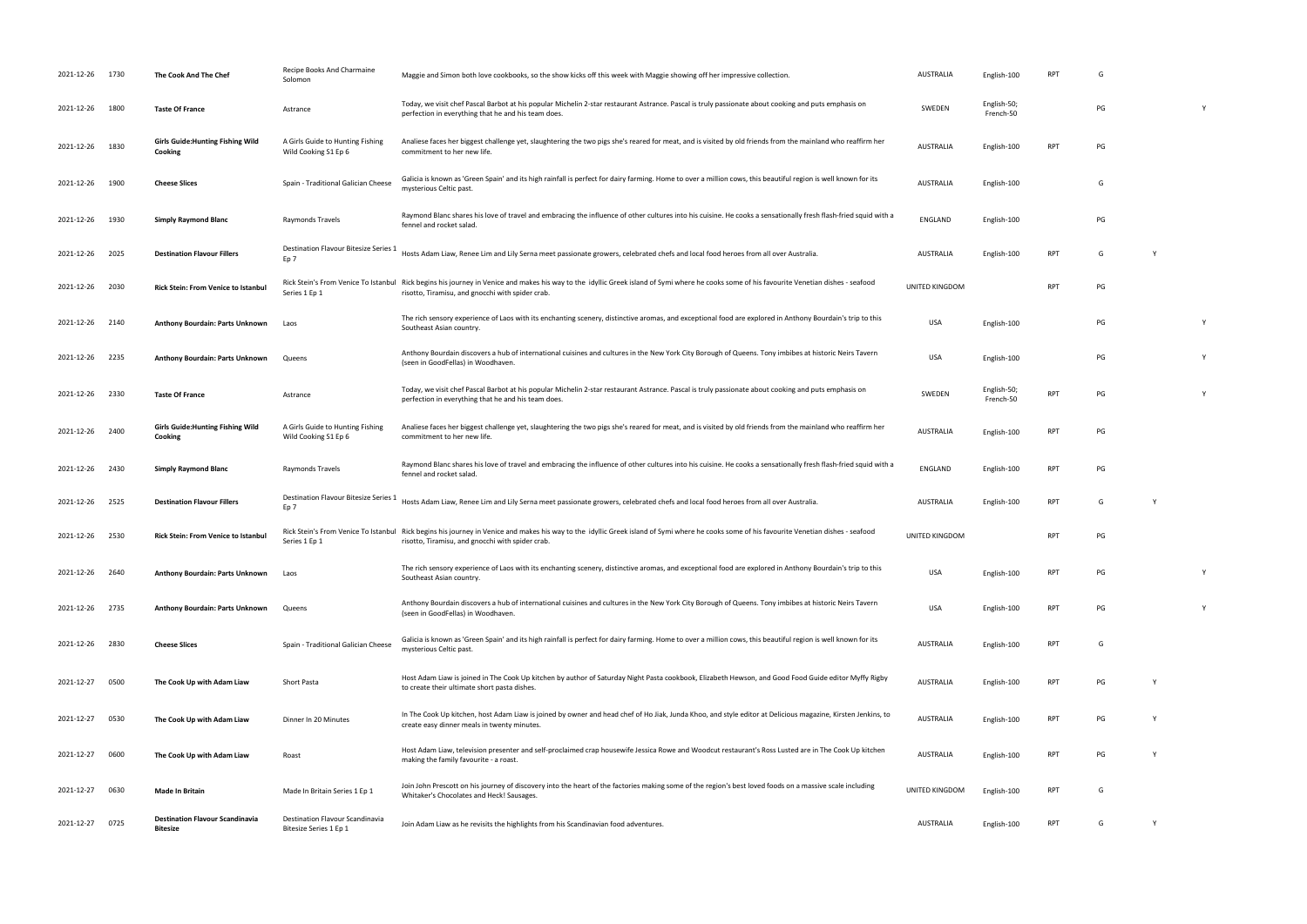| 2021-12-26 1730 |      | The Cook And The Chef                               | Recipe Books And Charmaine<br>Solomon                    | Maggie and Simon both love cookbooks, so the show kicks off this week with Maggie showing off her impressive collection.                                                                                                                        | <b>AUSTRALIA</b>      | English-100              | <b>RPT</b>      | G  |   |   |
|-----------------|------|-----------------------------------------------------|----------------------------------------------------------|-------------------------------------------------------------------------------------------------------------------------------------------------------------------------------------------------------------------------------------------------|-----------------------|--------------------------|-----------------|----|---|---|
| 2021-12-26      | 1800 | <b>Taste Of France</b>                              | Astrance                                                 | Today, we visit chef Pascal Barbot at his popular Michelin 2-star restaurant Astrance. Pascal is truly passionate about cooking and puts emphasis on<br>perfection in everything that he and his team does.                                     | SWEDEN                | English-50;<br>French-50 |                 | PG |   |   |
| 2021-12-26 1830 |      | <b>Girls Guide: Hunting Fishing Wild</b><br>Cooking | A Girls Guide to Hunting Fishing<br>Wild Cooking S1 Ep 6 | Analiese faces her biggest challenge yet, slaughtering the two pigs she's reared for meat, and is visited by old friends from the mainland who reaffirm her<br>commitment to her new life.                                                      | <b>AUSTRALIA</b>      | English-100              | <b>RPT</b>      | PG |   |   |
| 2021-12-26 1900 |      | <b>Cheese Slices</b>                                | Spain - Traditional Galician Cheese                      | Galicia is known as 'Green Spain' and its high rainfall is perfect for dairy farming. Home to over a million cows, this beautiful region is well known for its<br>mysterious Celtic past.                                                       | <b>AUSTRALIA</b>      | English-100              |                 | G  |   |   |
| 2021-12-26 1930 |      | <b>Simply Raymond Blanc</b>                         | Raymonds Travels                                         | Raymond Blanc shares his love of travel and embracing the influence of other cultures into his cuisine. He cooks a sensationally fresh flash-fried squid with a<br>fennel and rocket salad.                                                     | ENGLAND               | English-100              |                 | PG |   |   |
| 2021-12-26      | 2025 | <b>Destination Flavour Fillers</b>                  | Destination Flavour Bitesize Series 1<br>Ep 7            | Hosts Adam Liaw, Renee Lim and Lily Serna meet passionate growers, celebrated chefs and local food heroes from all over Australia.                                                                                                              | <b>AUSTRALIA</b>      | English-100              | <b>RPT</b>      | G  | Y |   |
| 2021-12-26 2030 |      | <b>Rick Stein: From Venice to Istanbul</b>          | Series 1 Ep 1                                            | Rick Stein's From Venice To Istanbul Rick begins his journey in Venice and makes his way to the idyllic Greek island of Symi where he cooks some of his favourite Venetian dishes - seafood<br>risotto, Tiramisu, and gnocchi with spider crab. | UNITED KINGDOM        |                          | <b>RPT</b>      | PG |   |   |
| 2021-12-26 2140 |      | Anthony Bourdain: Parts Unknown                     | Laos                                                     | The rich sensory experience of Laos with its enchanting scenery, distinctive aromas, and exceptional food are explored in Anthony Bourdain's trip to this<br>Southeast Asian country.                                                           | <b>USA</b>            | English-100              |                 | PG |   | Y |
| 2021-12-26 2235 |      | Anthony Bourdain: Parts Unknown                     | Queens                                                   | Anthony Bourdain discovers a hub of international cuisines and cultures in the New York City Borough of Queens. Tony imbibes at historic Neirs Tavern<br>(seen in GoodFellas) in Woodhaven.                                                     | <b>USA</b>            | English-100              |                 | PG |   |   |
| 2021-12-26 2330 |      | <b>Taste Of France</b>                              | Astrance                                                 | Today, we visit chef Pascal Barbot at his popular Michelin 2-star restaurant Astrance. Pascal is truly passionate about cooking and puts emphasis on<br>perfection in everything that he and his team does.                                     | SWEDEN                | English-50;<br>French-50 | <b>RPT</b>      | PG |   |   |
| 2021-12-26 2400 |      | <b>Girls Guide: Hunting Fishing Wild</b><br>Cooking | A Girls Guide to Hunting Fishing<br>Wild Cooking S1 Ep 6 | Analiese faces her biggest challenge yet, slaughtering the two pigs she's reared for meat, and is visited by old friends from the mainland who reaffirm her<br>commitment to her new life.                                                      | AUSTRALIA             | English-100              | <b>RPT</b>      | PG |   |   |
|                 |      |                                                     |                                                          |                                                                                                                                                                                                                                                 |                       |                          |                 |    |   |   |
| 2021-12-26 2430 |      | <b>Simply Raymond Blanc</b>                         | Raymonds Travels                                         | Raymond Blanc shares his love of travel and embracing the influence of other cultures into his cuisine. He cooks a sensationally fresh flash-fried squid with a<br>fennel and rocket salad.                                                     | ENGLAND               | English-100              | <b>RPT</b>      | PG |   |   |
| 2021-12-26 2525 |      | <b>Destination Flavour Fillers</b>                  | Destination Flavour Bitesize Series 1<br>Ep 7            | Hosts Adam Liaw, Renee Lim and Lily Serna meet passionate growers, celebrated chefs and local food heroes from all over Australia.                                                                                                              | AUSTRALIA             | English-100              | <b>RPT</b>      | G  |   |   |
| 2021-12-26 2530 |      | <b>Rick Stein: From Venice to Istanbul</b>          | Series 1 Ep 1                                            | Rick Stein's From Venice To Istanbul Rick begins his journey in Venice and makes his way to the idyllic Greek island of Symi where he cooks some of his favourite Venetian dishes - seafood<br>risotto, Tiramisu, and gnocchi with spider crab. | UNITED KINGDOM        |                          | <b>RPT</b>      | PG |   |   |
| 2021-12-26 2640 |      | Anthony Bourdain: Parts Unknown                     | Laos                                                     | The rich sensory experience of Laos with its enchanting scenery, distinctive aromas, and exceptional food are explored in Anthony Bourdain's trip to this<br>Southeast Asian country.                                                           | <b>USA</b>            | English-100              | RP <sub>1</sub> | PG |   |   |
| 2021-12-26 2735 |      | Anthony Bourdain: Parts Unknown                     | Queens                                                   | Anthony Bourdain discovers a hub of international cuisines and cultures in the New York City Borough of Queens. Tony imbibes at historic Neirs Tavern<br>(seen in GoodFellas) in Woodhaven.                                                     | <b>USA</b>            | English-100              | <b>RPT</b>      | PG |   |   |
| 2021-12-26 2830 |      | <b>Cheese Slices</b>                                | Spain - Traditional Galician Cheese                      | Galicia is known as 'Green Spain' and its high rainfall is perfect for dairy farming. Home to over a million cows, this beautiful region is well known for its<br>mysterious Celtic past.                                                       | AUSTRALIA             | English-100              | <b>RPT</b>      | G  |   |   |
| 2021-12-27      | 0500 | The Cook Up with Adam Liaw                          | Short Pasta                                              | Host Adam Liaw is joined in The Cook Up kitchen by author of Saturday Night Pasta cookbook, Elizabeth Hewson, and Good Food Guide editor Myffy Rigby<br>to create their ultimate short pasta dishes.                                            | AUSTRALIA             | English-100              | <b>RPT</b>      | PG | Y |   |
| 2021-12-27      | 0530 | The Cook Up with Adam Liaw                          | Dinner In 20 Minutes                                     | In The Cook Up kitchen, host Adam Liaw is joined by owner and head chef of Ho Jiak, Junda Khoo, and style editor at Delicious magazine, Kirsten Jenkins, to<br>create easy dinner meals in twenty minutes.                                      | <b>AUSTRALIA</b>      | English-100              | <b>RPT</b>      | PG |   |   |
| 2021-12-27      | 0600 | The Cook Up with Adam Liaw                          | Roast                                                    | Host Adam Liaw, television presenter and self-proclaimed crap housewife Jessica Rowe and Woodcut restaurant's Ross Lusted are in The Cook Up kitchen<br>making the family favourite - a roast.                                                  | <b>AUSTRALIA</b>      | English-100              | <b>RPT</b>      | PG |   |   |
| 2021-12-27      | 0630 | Made In Britain                                     | Made In Britain Series 1 Ep 1                            | Join John Prescott on his journey of discovery into the heart of the factories making some of the region's best loved foods on a massive scale including<br>Whitaker's Chocolates and Heck! Sausages.                                           | <b>UNITED KINGDOM</b> | English-100              | <b>RPT</b>      | G  |   |   |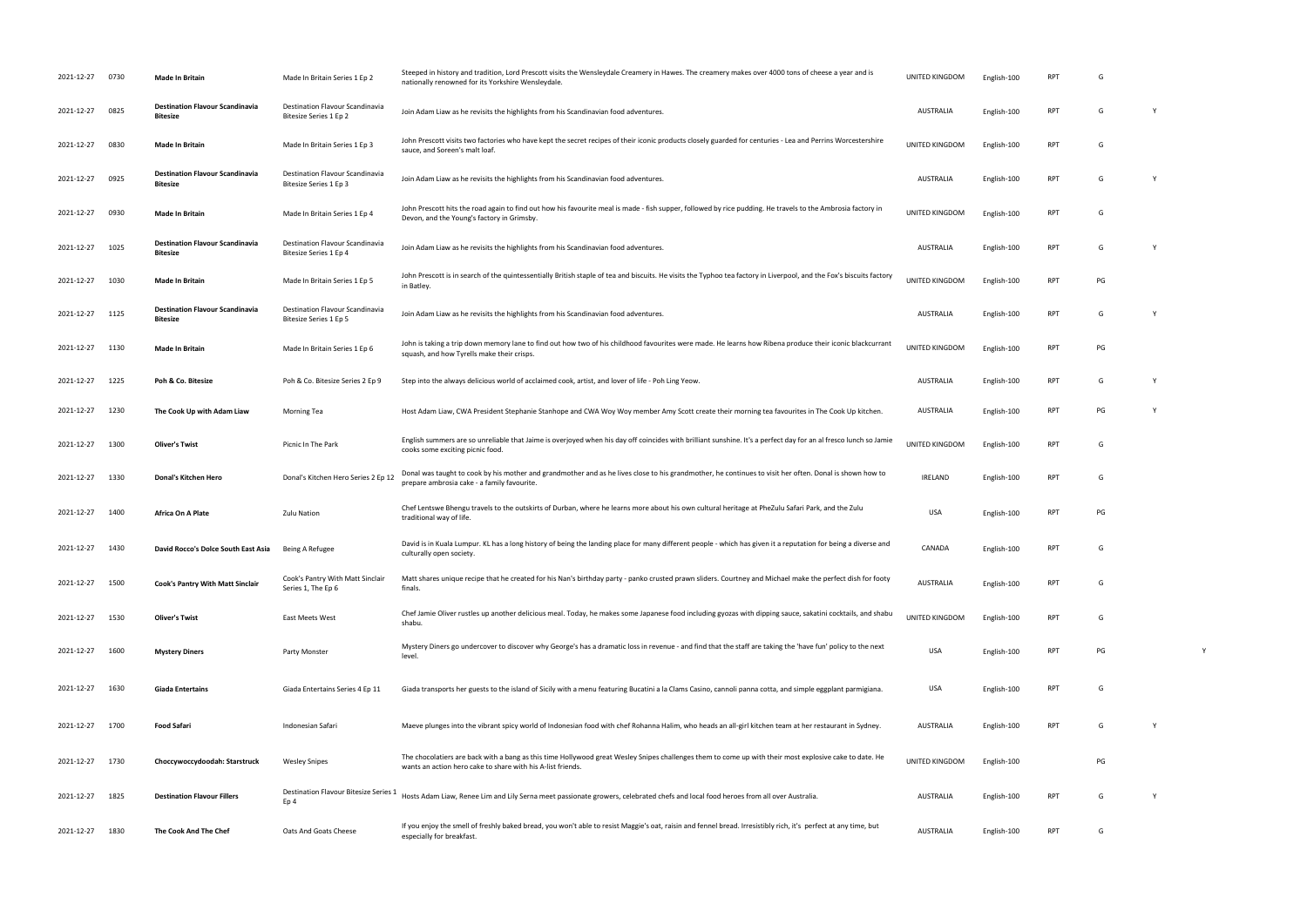| 2021-12-27      | 0730 | <b>Made In Britain</b>                                    | Made In Britain Series 1 Ep 2                             | Steeped in history and tradition, Lord Prescott visits the Wensleydale Creamery in Hawes. The creamery makes over 4000 tons of cheese a year and is<br>nationally renowned for its Yorkshire Wensleydale.             | UNITED KINGDOM   | English-100 | RPT        |    |              |  |
|-----------------|------|-----------------------------------------------------------|-----------------------------------------------------------|-----------------------------------------------------------------------------------------------------------------------------------------------------------------------------------------------------------------------|------------------|-------------|------------|----|--------------|--|
| 2021-12-27      | 0825 | <b>Destination Flavour Scandinavia</b><br><b>Bitesize</b> | Destination Flavour Scandinavia<br>Bitesize Series 1 Ep 2 | Join Adam Liaw as he revisits the highlights from his Scandinavian food adventures.                                                                                                                                   | AUSTRALIA        | English-100 | <b>RPT</b> | G  | <sup>1</sup> |  |
| 2021-12-27      | 0830 | <b>Made In Britain</b>                                    | Made In Britain Series 1 Ep 3                             | John Prescott visits two factories who have kept the secret recipes of their iconic products closely guarded for centuries - Lea and Perrins Worcestershire<br>sauce, and Soreen's malt loaf.                         | UNITED KINGDOM   | English-100 | <b>RPT</b> | G  |              |  |
| 2021-12-27      | 0925 | <b>Destination Flavour Scandinavia</b><br><b>Bitesize</b> | Destination Flavour Scandinavia<br>Bitesize Series 1 Ep 3 | Join Adam Liaw as he revisits the highlights from his Scandinavian food adventures.                                                                                                                                   | AUSTRALIA        | English-100 | <b>RPT</b> | G  | Y            |  |
| 2021-12-27      | 0930 | Made In Britain                                           | Made In Britain Series 1 Ep 4                             | John Prescott hits the road again to find out how his favourite meal is made - fish supper, followed by rice pudding. He travels to the Ambrosia factory in<br>Devon, and the Young's factory in Grimsby.             | UNITED KINGDOM   | English-100 | <b>RPT</b> | G  |              |  |
| 2021-12-27      | 1025 | <b>Destination Flavour Scandinavia</b><br><b>Bitesize</b> | Destination Flavour Scandinavia<br>Bitesize Series 1 Ep 4 | Join Adam Liaw as he revisits the highlights from his Scandinavian food adventures.                                                                                                                                   | AUSTRALIA        | English-100 | <b>RPT</b> | G  | -Y           |  |
| 2021-12-27      | 1030 | Made In Britain                                           | Made In Britain Series 1 Ep 5                             | John Prescott is in search of the quintessentially British staple of tea and biscuits. He visits the Typhoo tea factory in Liverpool, and the Fox's biscuits factory<br>in Batley.                                    | UNITED KINGDOM   | English-100 | <b>RPT</b> | PG |              |  |
| 2021-12-27      | 1125 | <b>Destination Flavour Scandinavia</b><br><b>Bitesize</b> | Destination Flavour Scandinavia<br>Bitesize Series 1 Ep 5 | Join Adam Liaw as he revisits the highlights from his Scandinavian food adventures.                                                                                                                                   | AUSTRALIA        | English-100 | <b>RPT</b> | G  | <b>V</b>     |  |
| 2021-12-27      | 1130 | <b>Made In Britain</b>                                    | Made In Britain Series 1 Ep 6                             | John is taking a trip down memory lane to find out how two of his childhood favourites were made. He learns how Ribena produce their iconic blackcurrant<br>squash, and how Tyrells make their crisps.                | UNITED KINGDOM   | English-100 | <b>RPT</b> | PG |              |  |
| 2021-12-27      | 1225 | Poh & Co. Bitesize                                        | Poh & Co. Bitesize Series 2 Ep 9                          | Step into the always delicious world of acclaimed cook, artist, and lover of life - Poh Ling Yeow.                                                                                                                    | <b>AUSTRALIA</b> | English-100 | <b>RPT</b> | G  |              |  |
| 2021-12-27      | 1230 | The Cook Up with Adam Liaw                                | <b>Morning Tea</b>                                        | Host Adam Liaw, CWA President Stephanie Stanhope and CWA Woy Woy member Amy Scott create their morning tea favourites in The Cook Up kitchen.                                                                         | <b>AUSTRALIA</b> | English-100 | <b>RPT</b> | PG |              |  |
| 2021-12-27      | 1300 | <b>Oliver's Twist</b>                                     | Picnic In The Park                                        | English summers are so unreliable that Jaime is overjoyed when his day off coincides with brilliant sunshine. It's a perfect day for an al fresco lunch so Jamie<br>cooks some exciting picnic food.                  | UNITED KINGDOM   | English-100 | <b>RPT</b> | G  |              |  |
| 2021-12-27      | 1330 | Donal's Kitchen Hero                                      | Donal's Kitchen Hero Series 2 Ep 12                       | Donal was taught to cook by his mother and grandmother and as he lives close to his grandmother, he continues to visit her often. Donal is shown how to<br>prepare ambrosia cake - a family favourite.                | <b>IRELAND</b>   | English-100 | <b>RPT</b> | G  |              |  |
| 2021-12-27      | 1400 | Africa On A Plate                                         | <b>Zulu Nation</b>                                        | Chef Lentswe Bhengu travels to the outskirts of Durban, where he learns more about his own cultural heritage at PheZulu Safari Park, and the Zulu<br>traditional way of life.                                         | <b>USA</b>       | English-100 | <b>RPT</b> | PG |              |  |
| 2021-12-27      | 1430 | David Rocco's Dolce South East Asia                       | Being A Refugee                                           | David is in Kuala Lumpur. KL has a long history of being the landing place for many different people - which has given it a reputation for being a diverse and<br>culturally open society.                            | CANADA           | English-100 | <b>RPT</b> | G  |              |  |
| 2021-12-27      | 1500 | <b>Cook's Pantry With Matt Sinclair</b>                   | Cook's Pantry With Matt Sinclair<br>Series 1, The Ep 6    | Matt shares unique recipe that he created for his Nan's birthday party - panko crusted prawn sliders. Courtney and Michael make the perfect dish for footy<br>finals.                                                 | <b>AUSTRALIA</b> | English-100 | RPT        | G  |              |  |
| 2021-12-27      | 1530 | <b>Oliver's Twist</b>                                     | East Meets West                                           | Chef Jamie Oliver rustles up another delicious meal. Today, he makes some Japanese food including gyozas with dipping sauce, sakatini cocktails, and shabu<br>shabu.                                                  | UNITED KINGDOM   | English-100 | RPT        | G  |              |  |
| 2021-12-27      | 1600 | <b>Mystery Diners</b>                                     | Party Monster                                             | Mystery Diners go undercover to discover why George's has a dramatic loss in revenue - and find that the staff are taking the 'have fun' policy to the next<br>level.                                                 | <b>USA</b>       | English-100 | RPT        | PG |              |  |
| 2021-12-27      | 1630 | Giada Entertains                                          | Giada Entertains Series 4 Ep 11                           | Giada transports her guests to the island of Sicily with a menu featuring Bucatini a la Clams Casino, cannoli panna cotta, and simple eggplant parmigiana.                                                            | USA              | English-100 | RPT        | G  |              |  |
| 2021-12-27 1700 |      | <b>Food Safari</b>                                        | Indonesian Safari                                         | Maeve plunges into the vibrant spicy world of Indonesian food with chef Rohanna Halim, who heads an all-girl kitchen team at her restaurant in Sydney.                                                                | AUSTRALIA        | English-100 | <b>RPT</b> | G  | Y            |  |
| 2021-12-27      | 1730 | Choccywoccydoodah: Starstruck                             | <b>Wesley Snipes</b>                                      | The chocolatiers are back with a bang as this time Hollywood great Wesley Snipes challenges them to come up with their most explosive cake to date. He<br>wants an action hero cake to share with his A-list friends. | UNITED KINGDOM   | English-100 |            | PG |              |  |
| 2021-12-27      | 1825 | <b>Destination Flavour Fillers</b>                        | Destination Flavour Bitesize Series 1<br>Ep 4             | Hosts Adam Liaw, Renee Lim and Lily Serna meet passionate growers, celebrated chefs and local food heroes from all over Australia.                                                                                    | AUSTRALIA        | English-100 | <b>RPT</b> | G  |              |  |
| 2021-12-27      | 1830 | The Cook And The Chef                                     | Oats And Goats Cheese                                     | If you enjoy the smell of freshly baked bread, you won't able to resist Maggie's oat, raisin and fennel bread. Irresistibly rich, it's perfect at any time, but<br>especially for breakfast.                          | AUSTRALIA        | English-100 | <b>RPT</b> | G  |              |  |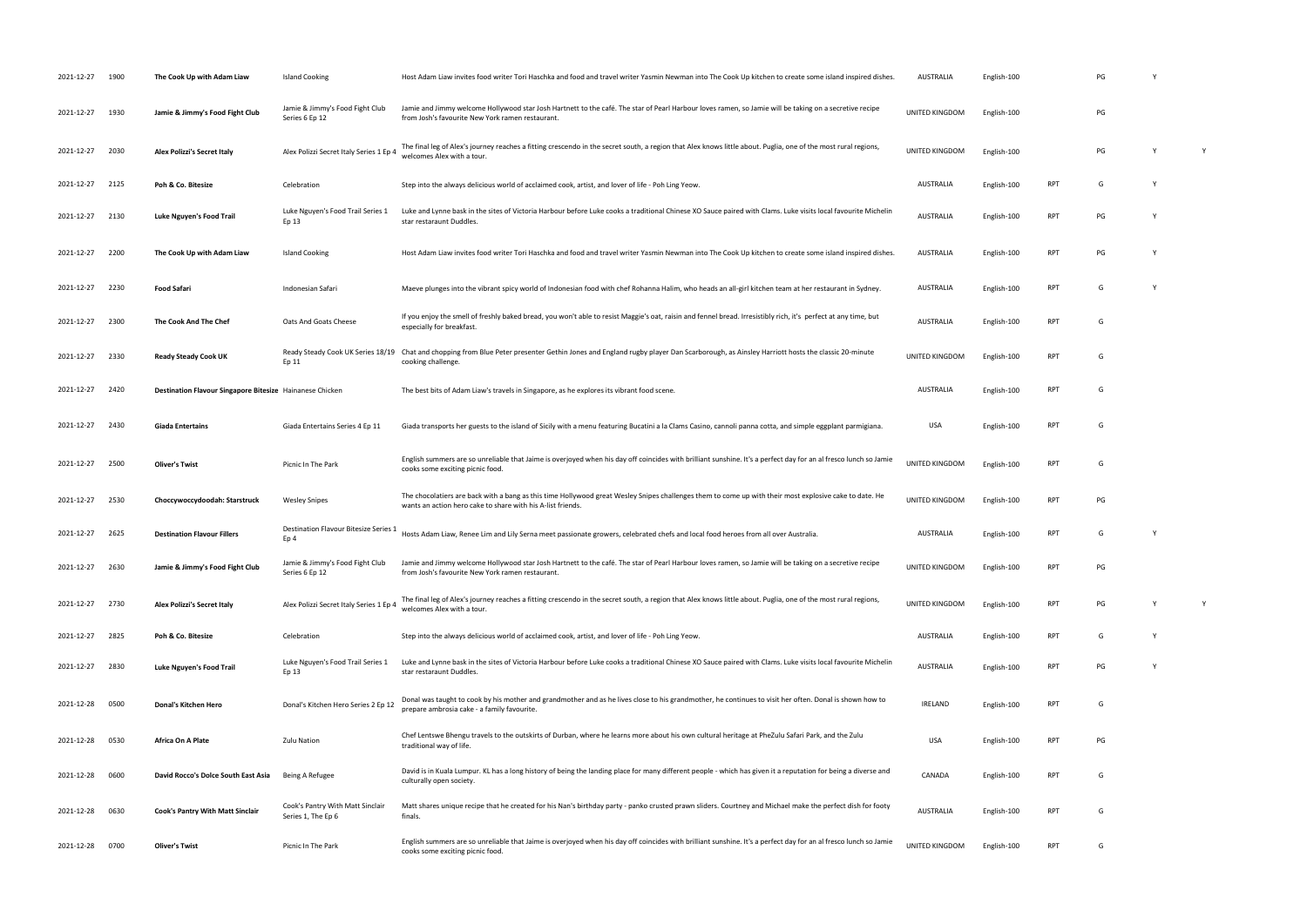| 2021-12-27      | 1900 | The Cook Up with Adam Liaw                               | Island Cooking                                           | Host Adam Liaw invites food writer Tori Haschka and food and travel writer Yasmin Newman into The Cook Up kitchen to create some island inspired dishes.                                                              | <b>AUSTRALIA</b> | English-100 |            | PG |   |
|-----------------|------|----------------------------------------------------------|----------------------------------------------------------|-----------------------------------------------------------------------------------------------------------------------------------------------------------------------------------------------------------------------|------------------|-------------|------------|----|---|
| 2021-12-27      | 1930 | Jamie & Jimmy's Food Fight Club                          | Jamie & Jimmy's Food Fight Club<br>Series 6 Ep 12        | Jamie and Jimmy welcome Hollywood star Josh Hartnett to the café. The star of Pearl Harbour loves ramen, so Jamie will be taking on a secretive recipe<br>from Josh's favourite New York ramen restaurant.            | UNITED KINGDOM   | English-100 |            | PG |   |
| 2021-12-27      | 2030 | Alex Polizzi's Secret Italy                              | Alex Polizzi Secret Italy Series 1 Ep 4                  | The final leg of Alex's journey reaches a fitting crescendo in the secret south, a region that Alex knows little about. Puglia, one of the most rural regions,<br>welcomes Alex with a tour.                          | UNITED KINGDOM   | English-100 |            | PG | Y |
| 2021-12-27      | 2125 | Poh & Co. Bitesize                                       | Celebration                                              | Step into the always delicious world of acclaimed cook, artist, and lover of life - Poh Ling Yeow.                                                                                                                    | <b>AUSTRALIA</b> | English-100 | RPT        | G  |   |
| 2021-12-27      | 2130 | Luke Nguyen's Food Trail                                 | Luke Nguyen's Food Trail Series 1<br>Ep 13               | Luke and Lynne bask in the sites of Victoria Harbour before Luke cooks a traditional Chinese XO Sauce paired with Clams. Luke visits local favourite Michelin<br>star restaraunt Duddles.                             | <b>AUSTRALIA</b> | English-100 | RPT        | PG |   |
| 2021-12-27      | 2200 | The Cook Up with Adam Liaw                               | <b>Island Cooking</b>                                    | Host Adam Liaw invites food writer Tori Haschka and food and travel writer Yasmin Newman into The Cook Up kitchen to create some island inspired dishes.                                                              | <b>AUSTRALIA</b> | English-100 | RPT        | PG |   |
| 2021-12-27      | 2230 | Food Safari                                              | Indonesian Safari                                        | Maeve plunges into the vibrant spicy world of Indonesian food with chef Rohanna Halim, who heads an all-girl kitchen team at her restaurant in Sydney.                                                                | <b>AUSTRALIA</b> | English-100 | <b>RPT</b> | G  |   |
| 2021-12-27      | 2300 | The Cook And The Chef                                    | Oats And Goats Cheese                                    | If you enjoy the smell of freshly baked bread, you won't able to resist Maggie's oat, raisin and fennel bread. Irresistibly rich, it's perfect at any time, but<br>especially for breakfast.                          | <b>AUSTRALIA</b> | English-100 | RPT        | G  |   |
| 2021-12-27      | 2330 | <b>Ready Steady Cook UK</b>                              | Ready Steady Cook UK Series 18/19<br>Ep 11               | Chat and chopping from Blue Peter presenter Gethin Jones and England rugby player Dan Scarborough, as Ainsley Harriott hosts the classic 20-minute<br>cooking challenge.                                              | UNITED KINGDOM   | English-100 | <b>RPT</b> | G  |   |
| 2021-12-27      | 2420 | Destination Flavour Singapore Bitesize Hainanese Chicken |                                                          | The best bits of Adam Liaw's travels in Singapore, as he explores its vibrant food scene.                                                                                                                             | <b>AUSTRALIA</b> | English-100 | <b>RPT</b> | G  |   |
| 2021-12-27      | 2430 | <b>Giada Entertains</b>                                  | Giada Entertains Series 4 Ep 11                          | Giada transports her guests to the island of Sicily with a menu featuring Bucatini a la Clams Casino, cannoli panna cotta, and simple eggplant parmigiana.                                                            | <b>USA</b>       | English-100 | <b>RPT</b> | G  |   |
| 2021-12-27      | 2500 | <b>Oliver's Twist</b>                                    | Picnic In The Park                                       | English summers are so unreliable that Jaime is overjoyed when his day off coincides with brilliant sunshine. It's a perfect day for an al fresco lunch so Jamie<br>cooks some exciting picnic food.                  | UNITED KINGDOM   | English-100 | <b>RPT</b> | G  |   |
| 2021-12-27      | 2530 | Choccywoccydoodah: Starstruck                            | <b>Wesley Snipes</b>                                     | The chocolatiers are back with a bang as this time Hollywood great Wesley Snipes challenges them to come up with their most explosive cake to date. He<br>wants an action hero cake to share with his A-list friends. | UNITED KINGDOM   | English-100 | RPT        | PG |   |
| 2021-12-27      | 2625 | <b>Destination Flavour Fillers</b>                       | Destination Flavour Bitesize Series 1<br>Ep <sub>4</sub> | Hosts Adam Liaw, Renee Lim and Lily Serna meet passionate growers, celebrated chefs and local food heroes from all over Australia.                                                                                    | <b>AUSTRALIA</b> | English-100 | <b>RPT</b> | G  |   |
| 2021-12-27      | 2630 | Jamie & Jimmy's Food Fight Club                          | Jamie & Jimmy's Food Fight Club<br>Series 6 Ep 12        | Jamie and Jimmy welcome Hollywood star Josh Hartnett to the café. The star of Pearl Harbour loves ramen, so Jamie will be taking on a secretive recipe<br>from Josh's favourite New York ramen restaurant.            | UNITED KINGDOM   | English-100 | RPT        | PG |   |
| 2021-12-27      | 2730 | <b>Alex Polizzi's Secret Italy</b>                       | Alex Polizzi Secret Italy Series 1 Ep 4                  | The final leg of Alex's journey reaches a fitting crescendo in the secret south, a region that Alex knows little about. Puglia, one of the most rural regions,<br>welcomes Alex with a tour.                          | UNITED KINGDOM   | English-100 | <b>RPT</b> | PG | Y |
| 2021-12-27      | 2825 | Poh & Co. Bitesize                                       | Celebration                                              | Step into the always delicious world of acclaimed cook, artist, and lover of life - Poh Ling Yeow.                                                                                                                    | <b>AUSTRALIA</b> | English-100 | <b>RPT</b> | G  |   |
| 2021-12-27      | 2830 | Luke Nguyen's Food Trail                                 | Luke Nguyen's Food Trail Series 1<br>Ep 13               | Luke and Lynne bask in the sites of Victoria Harbour before Luke cooks a traditional Chinese XO Sauce paired with Clams. Luke visits local favourite Michelin<br>star restaraunt Duddles.                             | <b>AUSTRALIA</b> | English-100 | RPT        | PG |   |
| 2021-12-28      | 0500 | Donal's Kitchen Hero                                     | Donal's Kitchen Hero Series 2 Ep 12                      | Donal was taught to cook by his mother and grandmother and as he lives close to his grandmother, he continues to visit her often. Donal is shown how to<br>prepare ambrosia cake - a family favourite.                | <b>IRELAND</b>   | English-100 | <b>RPT</b> | G  |   |
| 2021-12-28      | 0530 | Africa On A Plate                                        | <b>Zulu Nation</b>                                       | Chef Lentswe Bhengu travels to the outskirts of Durban, where he learns more about his own cultural heritage at PheZulu Safari Park, and the Zulu<br>traditional way of life.                                         | <b>USA</b>       | English-100 | <b>RPT</b> | PG |   |
| 2021-12-28      | 0600 | David Rocco's Dolce South East Asia                      | Being A Refugee                                          | David is in Kuala Lumpur. KL has a long history of being the landing place for many different people - which has given it a reputation for being a diverse and<br>culturally open society.                            | CANADA           | English-100 | <b>RPT</b> | G  |   |
| 2021-12-28      | 0630 | Cook's Pantry With Matt Sinclair                         | Cook's Pantry With Matt Sinclair<br>Series 1, The Ep 6   | Matt shares unique recipe that he created for his Nan's birthday party - panko crusted prawn sliders. Courtney and Michael make the perfect dish for footy<br>finals.                                                 | <b>AUSTRALIA</b> | English-100 | RPT        | G  |   |
| 2021-12-28 0700 |      | <b>Oliver's Twist</b>                                    | Picnic In The Park                                       | English summers are so unreliable that Jaime is overjoyed when his day off coincides with brilliant sunshine. It's a perfect day for an al fresco lunch so Jamie<br>cooks some exciting picnic food.                  | UNITED KINGDOM   | English-100 | RPT        | G  |   |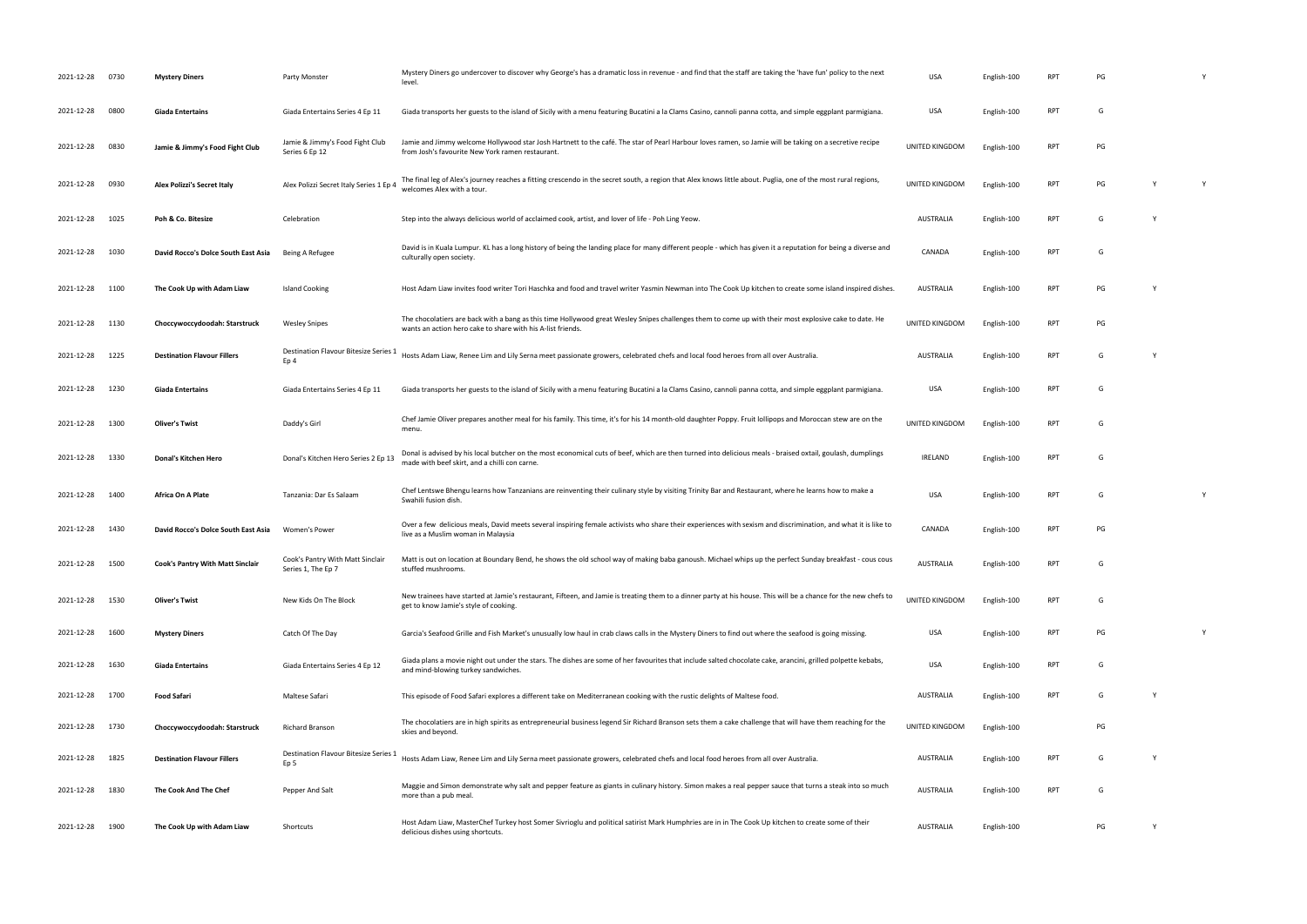| 2021-12-28      | 0730 | <b>Mystery Diners</b>               | Party Monster                                          | Mystery Diners go undercover to discover why George's has a dramatic loss in revenue - and find that the staff are taking the 'have fun' policy to the next<br>level.                                                 | <b>USA</b>       | English-100 | <b>RPT</b> | PG |   |   |
|-----------------|------|-------------------------------------|--------------------------------------------------------|-----------------------------------------------------------------------------------------------------------------------------------------------------------------------------------------------------------------------|------------------|-------------|------------|----|---|---|
| 2021-12-28      | 0800 | <b>Giada Entertains</b>             | Giada Entertains Series 4 Ep 11                        | Giada transports her guests to the island of Sicily with a menu featuring Bucatini a la Clams Casino, cannoli panna cotta, and simple eggplant parmigiana.                                                            | <b>USA</b>       | English-100 | <b>RPT</b> | G  |   |   |
| 2021-12-28      | 0830 | Jamie & Jimmy's Food Fight Club     | Jamie & Jimmy's Food Fight Club<br>Series 6 Ep 12      | Jamie and Jimmy welcome Hollywood star Josh Hartnett to the café. The star of Pearl Harbour loves ramen, so Jamie will be taking on a secretive recipe<br>from Josh's favourite New York ramen restaurant.            | UNITED KINGDOM   | English-100 | <b>RPT</b> | PG |   |   |
| 2021-12-28      | 0930 | Alex Polizzi's Secret Italy         | Alex Polizzi Secret Italy Series 1 Ep 4                | The final leg of Alex's journey reaches a fitting crescendo in the secret south, a region that Alex knows little about. Puglia, one of the most rural regions,<br>welcomes Alex with a tour.                          | UNITED KINGDOM   | English-100 | <b>RPT</b> | PG |   | Y |
| 2021-12-28      | 1025 | Poh & Co. Bitesize                  | Celebration                                            | Step into the always delicious world of acclaimed cook, artist, and lover of life - Poh Ling Yeow.                                                                                                                    | <b>AUSTRALIA</b> | English-100 | <b>RPT</b> | G  |   |   |
| 2021-12-28      | 1030 | David Rocco's Dolce South East Asia | Being A Refugee                                        | David is in Kuala Lumpur. KL has a long history of being the landing place for many different people - which has given it a reputation for being a diverse and<br>culturally open society.                            | CANADA           | English-100 | <b>RPT</b> | G  |   |   |
| 2021-12-28      | 1100 | The Cook Up with Adam Liaw          | Island Cooking                                         | Host Adam Liaw invites food writer Tori Haschka and food and travel writer Yasmin Newman into The Cook Up kitchen to create some island inspired dishes.                                                              | <b>AUSTRALIA</b> | English-100 | <b>RPT</b> | PG | Y |   |
| 2021-12-28 1130 |      | Choccywoccydoodah: Starstruck       | <b>Wesley Snipes</b>                                   | The chocolatiers are back with a bang as this time Hollywood great Wesley Snipes challenges them to come up with their most explosive cake to date. He<br>wants an action hero cake to share with his A-list friends. | UNITED KINGDOM   | English-100 | <b>RPT</b> | PG |   |   |
| 2021-12-28      | 1225 | <b>Destination Flavour Fillers</b>  | <b>Destination Flavour Bitesize Series 1</b><br>Ep 4   | Hosts Adam Liaw, Renee Lim and Lily Serna meet passionate growers, celebrated chefs and local food heroes from all over Australia.                                                                                    | <b>AUSTRALIA</b> | English-100 | <b>RPT</b> | G  |   |   |
| 2021-12-28      | 1230 | <b>Giada Entertains</b>             | Giada Entertains Series 4 Ep 11                        | Giada transports her guests to the island of Sicily with a menu featuring Bucatini a la Clams Casino, cannoli panna cotta, and simple eggplant parmigiana.                                                            | <b>USA</b>       | English-100 | <b>RPT</b> | G  |   |   |
| 2021-12-28      | 1300 | <b>Oliver's Twist</b>               | Daddy's Girl                                           | Chef Jamie Oliver prepares another meal for his family. This time, it's for his 14 month-old daughter Poppy. Fruit lollipops and Moroccan stew are on the<br>menu.                                                    | UNITED KINGDOM   | English-100 | <b>RPT</b> | G  |   |   |
| 2021-12-28      | 1330 | Donal's Kitchen Hero                | Donal's Kitchen Hero Series 2 Ep 13                    | Donal is advised by his local butcher on the most economical cuts of beef, which are then turned into delicious meals - braised oxtail, goulash, dumplings<br>made with beef skirt, and a chilli con carne.           | <b>IRELAND</b>   | English-100 | <b>RPT</b> | G  |   |   |
| 2021-12-28      | 1400 | Africa On A Plate                   | Tanzania: Dar Es Salaam                                | Chef Lentswe Bhengu learns how Tanzanians are reinventing their culinary style by visiting Trinity Bar and Restaurant, where he learns how to make a<br>Swahili fusion dish.                                          | <b>USA</b>       | English-100 | <b>RPT</b> | G  |   | Y |
| 2021-12-28      | 1430 | David Rocco's Dolce South East Asia | Women's Power                                          | Over a few delicious meals, David meets several inspiring female activists who share their experiences with sexism and discrimination, and what it is like to<br>live as a Muslim woman in Malaysia                   | CANADA           | English-100 | <b>RPT</b> | PG |   |   |
| 2021-12-28 1500 |      | Cook's Pantry With Matt Sinclair    | Cook's Pantry With Matt Sinclair<br>Series 1, The Ep 7 | Matt is out on location at Boundary Bend, he shows the old school way of making baba ganoush. Michael whips up the perfect Sunday breakfast - cous cous<br>stuffed mushrooms.                                         | <b>AUSTRALIA</b> | English-100 | <b>RPT</b> | G  |   |   |
| 2021-12-28 1530 |      | <b>Oliver's Twist</b>               | New Kids On The Block                                  | New trainees have started at Jamie's restaurant, Fifteen, and Jamie is treating them to a dinner party at his house. This will be a chance for the new chefs to<br>get to know Jamie's style of cooking.              | UNITED KINGDOM   | English-100 | <b>RPT</b> | G  |   |   |
| 2021-12-28      | 1600 | <b>Mystery Diners</b>               | Catch Of The Day                                       | Garcia's Seafood Grille and Fish Market's unusually low haul in crab claws calls in the Mystery Diners to find out where the seafood is going missing.                                                                | <b>USA</b>       | English-100 | RPT        | PG |   | Y |
| 2021-12-28      | 1630 | <b>Giada Entertains</b>             | Giada Entertains Series 4 Ep 12                        | Giada plans a movie night out under the stars. The dishes are some of her favourites that include salted chocolate cake, arancini, grilled polpette kebabs,<br>and mind-blowing turkey sandwiches.                    | USA              | English-100 | <b>RPT</b> | G  |   |   |
| 2021-12-28      | 1700 | <b>Food Safari</b>                  | Maltese Safari                                         | This episode of Food Safari explores a different take on Mediterranean cooking with the rustic delights of Maltese food.                                                                                              | AUSTRALIA        | English-100 | <b>RPT</b> | G  | Y |   |
| 2021-12-28      | 1730 | Choccywoccydoodah: Starstruck       | <b>Richard Branson</b>                                 | The chocolatiers are in high spirits as entrepreneurial business legend Sir Richard Branson sets them a cake challenge that will have them reaching for the<br>skies and beyond.                                      | UNITED KINGDOM   | English-100 |            | PG |   |   |
| 2021-12-28      | 1825 | <b>Destination Flavour Fillers</b>  | Destination Flavour Bitesize Series<br>Ep 5            | Hosts Adam Liaw, Renee Lim and Lily Serna meet passionate growers, celebrated chefs and local food heroes from all over Australia.                                                                                    | AUSTRALIA        | English-100 | RPT        | G  | Y |   |
| 2021-12-28      | 1830 | The Cook And The Chef               | Pepper And Salt                                        | Maggie and Simon demonstrate why salt and pepper feature as giants in culinary history. Simon makes a real pepper sauce that turns a steak into so much<br>more than a pub meal.                                      | <b>AUSTRALIA</b> | English-100 | <b>RPT</b> | G  |   |   |
| 2021-12-28      | 1900 | The Cook Up with Adam Liaw          | Shortcuts                                              | Host Adam Liaw, MasterChef Turkey host Somer Sivrioglu and political satirist Mark Humphries are in in The Cook Up kitchen to create some of their<br>delicious dishes using shortcuts.                               | AUSTRALIA        | English-100 |            | PG | Y |   |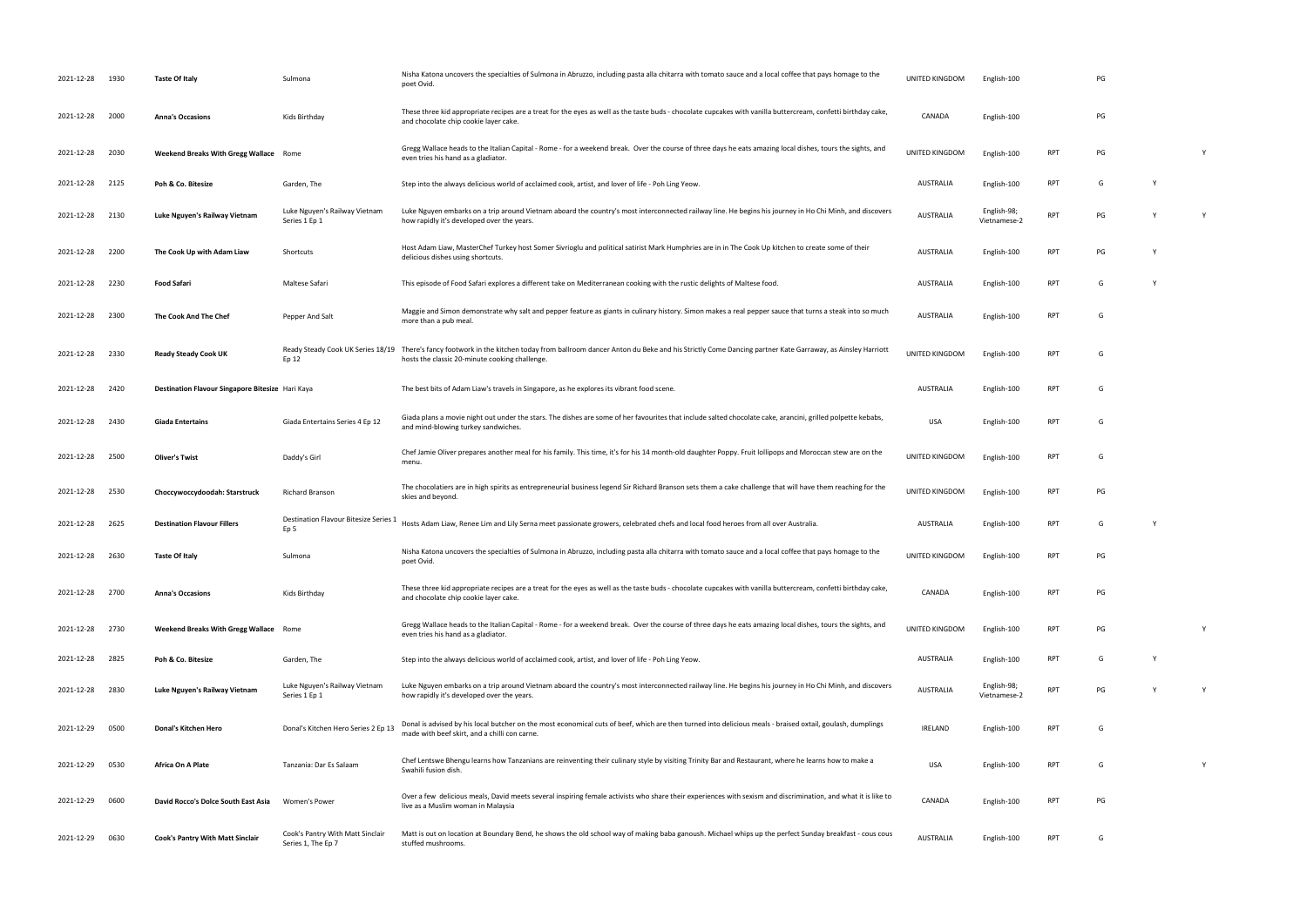| 2021-12-28      | 1930 | <b>Taste Of Italy</b>                            | Sulmona                                                  | Nisha Katona uncovers the specialties of Sulmona in Abruzzo, including pasta alla chitarra with tomato sauce and a local coffee that pays homage to the<br>poet Ovid.                                       | UNITED KINGDOM   | English-100                 |            | PG |   |  |
|-----------------|------|--------------------------------------------------|----------------------------------------------------------|-------------------------------------------------------------------------------------------------------------------------------------------------------------------------------------------------------------|------------------|-----------------------------|------------|----|---|--|
| 2021-12-28 2000 |      | <b>Anna's Occasions</b>                          | Kids Birthday                                            | These three kid appropriate recipes are a treat for the eyes as well as the taste buds - chocolate cupcakes with vanilla buttercream, confetti birthday cake,<br>and chocolate chip cookie layer cake.      | CANADA           | English-100                 |            | PG |   |  |
| 2021-12-28      | 2030 | Weekend Breaks With Gregg Wallace Rome           |                                                          | Gregg Wallace heads to the Italian Capital - Rome - for a weekend break. Over the course of three days he eats amazing local dishes, tours the sights, and<br>even tries his hand as a gladiator.           | UNITED KINGDOM   | English-100                 | <b>RPT</b> | PG |   |  |
| 2021-12-28      | 2125 | Poh & Co. Bitesize                               | Garden, The                                              | Step into the always delicious world of acclaimed cook, artist, and lover of life - Poh Ling Yeow.                                                                                                          | <b>AUSTRALIA</b> | English-100                 | <b>RPT</b> | G  |   |  |
| 2021-12-28      | 2130 | Luke Nguyen's Railway Vietnam                    | Luke Nguyen's Railway Vietnam<br>Series 1 Ep 1           | Luke Nguyen embarks on a trip around Vietnam aboard the country's most interconnected railway line. He begins his journey in Ho Chi Minh, and discovers<br>how rapidly it's developed over the years.       | <b>AUSTRALIA</b> | English-98;<br>Vietnamese-2 | <b>RPT</b> | PG | Y |  |
| 2021-12-28      | 2200 | The Cook Up with Adam Liaw                       | Shortcuts                                                | Host Adam Liaw, MasterChef Turkey host Somer Sivrioglu and political satirist Mark Humphries are in in The Cook Up kitchen to create some of their<br>delicious dishes using shortcuts.                     | <b>AUSTRALIA</b> | English-100                 | RPT        | PG |   |  |
| 2021-12-28      | 2230 | <b>Food Safari</b>                               | Maltese Safari                                           | This episode of Food Safari explores a different take on Mediterranean cooking with the rustic delights of Maltese food.                                                                                    | AUSTRALIA        | English-100                 | <b>RPT</b> | G  |   |  |
| 2021-12-28      | 2300 | The Cook And The Chef                            | Pepper And Salt                                          | Maggie and Simon demonstrate why salt and pepper feature as giants in culinary history. Simon makes a real pepper sauce that turns a steak into so much<br>more than a pub meal.                            | <b>AUSTRALIA</b> | English-100                 | RPT        | G  |   |  |
| 2021-12-28      | 2330 | <b>Ready Steady Cook UK</b>                      | Ready Steady Cook UK Series 18/19<br>Ep 12               | There's fancy footwork in the kitchen today from ballroom dancer Anton du Beke and his Strictly Come Dancing partner Kate Garraway, as Ainsley Harriott<br>hosts the classic 20-minute cooking challenge.   | UNITED KINGDOM   | English-100                 | RPT        | G  |   |  |
| 2021-12-28      | 2420 | Destination Flavour Singapore Bitesize Hari Kaya |                                                          | The best bits of Adam Liaw's travels in Singapore, as he explores its vibrant food scene                                                                                                                    | AUSTRALIA        | English-100                 | RPT        | G  |   |  |
| 2021-12-28      | 2430 | <b>Giada Entertains</b>                          | Giada Entertains Series 4 Ep 12                          | Giada plans a movie night out under the stars. The dishes are some of her favourites that include salted chocolate cake, arancini, grilled polpette kebabs,<br>and mind-blowing turkey sandwiches.          | USA              | English-100                 | RPT        | G  |   |  |
| 2021-12-28      | 2500 | <b>Oliver's Twist</b>                            | Daddy's Girl                                             | Chef Jamie Oliver prepares another meal for his family. This time, it's for his 14 month-old daughter Poppy. Fruit lollipops and Moroccan stew are on the<br>menu.                                          | UNITED KINGDOM   | English-100                 | <b>RPT</b> | G  |   |  |
| 2021-12-28      | 2530 | Choccywoccydoodah: Starstruck                    | <b>Richard Branson</b>                                   | The chocolatiers are in high spirits as entrepreneurial business legend Sir Richard Branson sets them a cake challenge that will have them reaching for the<br>skies and beyond.                            | UNITED KINGDOM   | English-100                 | <b>RPT</b> | PG |   |  |
| 2021-12-28      | 2625 | <b>Destination Flavour Fillers</b>               | Destination Flavour Bitesize Series :<br>Ep <sub>5</sub> | Hosts Adam Liaw, Renee Lim and Lily Serna meet passionate growers, celebrated chefs and local food heroes from all over Australia.                                                                          | <b>AUSTRALIA</b> | English-100                 | <b>RPT</b> | G  |   |  |
| 2021-12-28      | 2630 | <b>Taste Of Italy</b>                            | Sulmona                                                  | Nisha Katona uncovers the specialties of Sulmona in Abruzzo, including pasta alla chitarra with tomato sauce and a local coffee that pays homage to the<br>poet Ovid.                                       | UNITED KINGDOM   | English-100                 | <b>RPT</b> | PG |   |  |
| 2021-12-28      | 2700 | <b>Anna's Occasions</b>                          | Kids Birthday                                            | These three kid appropriate recipes are a treat for the eyes as well as the taste buds - chocolate cupcakes with vanilla buttercream, confetti birthday cake,<br>and chocolate chip cookie layer cake.      | CANADA           | English-100                 | <b>RPT</b> | PG |   |  |
| 2021-12-28      | 2730 | Weekend Breaks With Gregg Wallace Rome           |                                                          | Gregg Wallace heads to the Italian Capital - Rome - for a weekend break. Over the course of three days he eats amazing local dishes, tours the sights, and<br>even tries his hand as a gladiator.           | UNITED KINGDOM   | English-100                 | RPT        | PG |   |  |
| 2021-12-28      | 2825 | Poh & Co. Bitesize                               | Garden, The                                              | Step into the always delicious world of acclaimed cook, artist, and lover of life - Poh Ling Yeow.                                                                                                          | AUSTRALIA        | English-100                 | <b>RPT</b> | G  | Y |  |
| 2021-12-28      | 2830 | Luke Nguyen's Railway Vietnam                    | Luke Nguyen's Railway Vietnam<br>Series 1 Ep 1           | Luke Nguyen embarks on a trip around Vietnam aboard the country's most interconnected railway line. He begins his journey in Ho Chi Minh, and discovers<br>how rapidly it's developed over the years.       | <b>AUSTRALIA</b> | English-98;<br>Vietnamese-2 | <b>RPT</b> | PG |   |  |
| 2021-12-29 0500 |      | Donal's Kitchen Hero                             | Donal's Kitchen Hero Series 2 Ep 13                      | Donal is advised by his local butcher on the most economical cuts of beef, which are then turned into delicious meals - braised oxtail, goulash, dumplings<br>made with beef skirt, and a chilli con carne. | <b>IRELAND</b>   | English-100                 | <b>RPT</b> | G  |   |  |
| 2021-12-29      | 0530 | Africa On A Plate                                | Tanzania: Dar Es Salaam                                  | Chef Lentswe Bhengu learns how Tanzanians are reinventing their culinary style by visiting Trinity Bar and Restaurant, where he learns how to make a<br>Swahili fusion dish.                                | <b>USA</b>       | English-100                 | <b>RPT</b> | G  |   |  |
| 2021-12-29      | 0600 | David Rocco's Dolce South East Asia              | Women's Power                                            | Over a few delicious meals, David meets several inspiring female activists who share their experiences with sexism and discrimination, and what it is like to<br>live as a Muslim woman in Malaysia         | CANADA           | English-100                 | <b>RPT</b> | PG |   |  |
| 2021-12-29 0630 |      | Cook's Pantry With Matt Sinclair                 | Cook's Pantry With Matt Sinclair<br>Series 1, The Ep 7   | Matt is out on location at Boundary Bend, he shows the old school way of making baba ganoush. Michael whips up the perfect Sunday breakfast - cous cous<br>stuffed mushrooms.                               | <b>AUSTRALIA</b> | English-100                 | <b>RPT</b> | G  |   |  |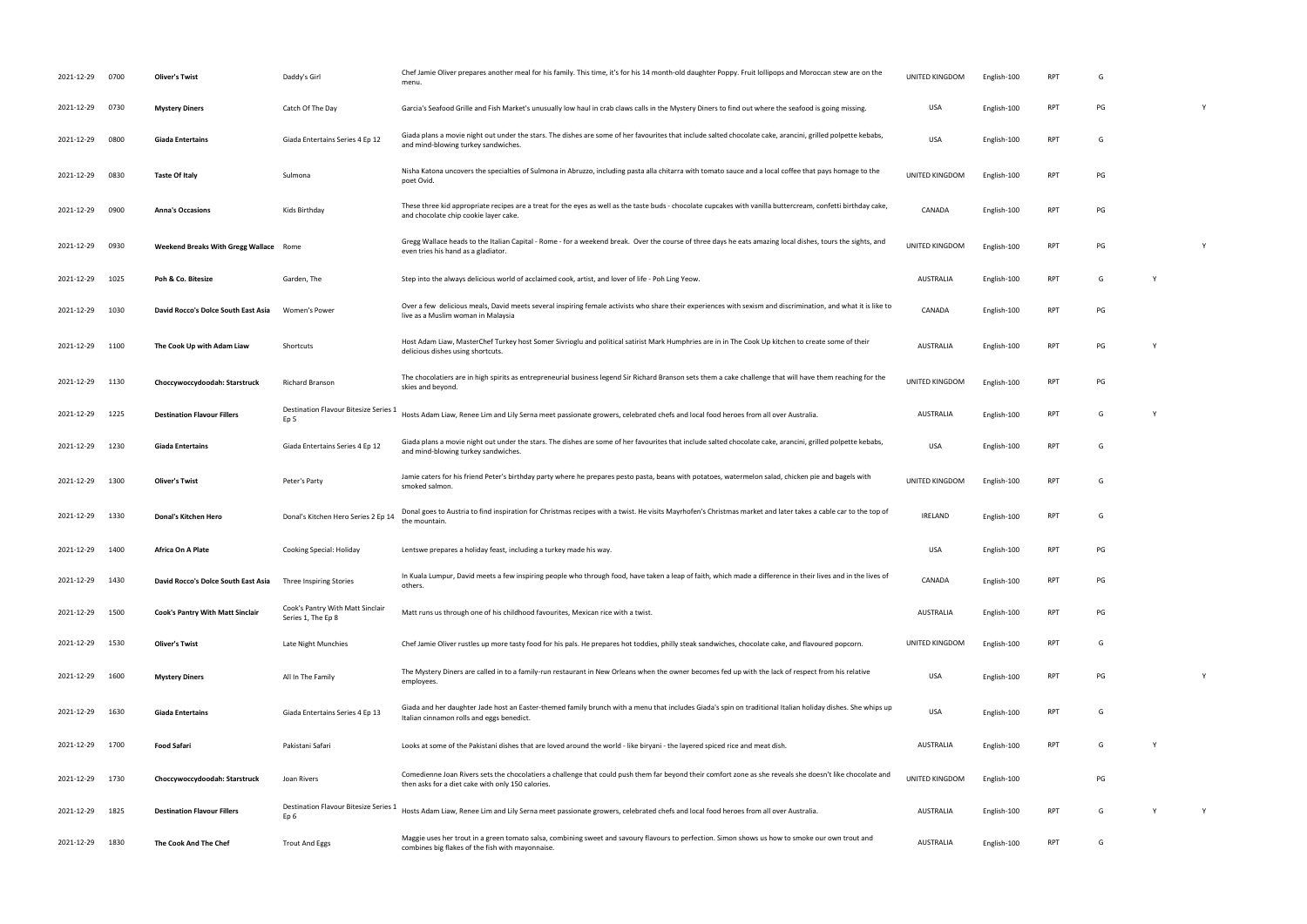| 2021-12-29      | 0700 | <b>Oliver's Twist</b>                  | Daddy's Girl                                             | Chef Jamie Oliver prepares another meal for his family. This time, it's for his 14 month-old daughter Poppy. Fruit lollipops and Moroccan stew are on the<br>menu.                                             | UNITED KINGDOM   | English-100 | RP         | G  |  |
|-----------------|------|----------------------------------------|----------------------------------------------------------|----------------------------------------------------------------------------------------------------------------------------------------------------------------------------------------------------------------|------------------|-------------|------------|----|--|
| 2021-12-29      | 0730 | <b>Mystery Diners</b>                  | Catch Of The Day                                         | Garcia's Seafood Grille and Fish Market's unusually low haul in crab claws calls in the Mystery Diners to find out where the seafood is going missing.                                                         | USA              | English-100 | <b>RPT</b> | PG |  |
| 2021-12-29      | 0800 | Giada Entertains                       | Giada Entertains Series 4 Ep 12                          | Giada plans a movie night out under the stars. The dishes are some of her favourites that include salted chocolate cake, arancini, grilled polpette kebabs,<br>and mind-blowing turkey sandwiches.             | <b>USA</b>       | English-100 | <b>RPT</b> | G  |  |
| 2021-12-29      | 0830 | <b>Taste Of Italy</b>                  | Sulmona                                                  | Nisha Katona uncovers the specialties of Sulmona in Abruzzo, including pasta alla chitarra with tomato sauce and a local coffee that pays homage to the<br>poet Ovid.                                          | UNITED KINGDOM   | English-100 | <b>RPT</b> | PG |  |
| 2021-12-29      | 0900 | <b>Anna's Occasions</b>                | Kids Birthday                                            | These three kid appropriate recipes are a treat for the eyes as well as the taste buds - chocolate cupcakes with vanilla buttercream, confetti birthday cake,<br>and chocolate chip cookie layer cake.         | CANADA           | English-100 | RPT        | PG |  |
| 2021-12-29      | 0930 | Weekend Breaks With Gregg Wallace Rome |                                                          | Gregg Wallace heads to the Italian Capital - Rome - for a weekend break. Over the course of three days he eats amazing local dishes, tours the sights, and<br>even tries his hand as a gladiator.              | UNITED KINGDOM   | English-100 | <b>RPT</b> | PG |  |
| 2021-12-29      | 1025 | Poh & Co. Bitesize                     | Garden, The                                              | Step into the always delicious world of acclaimed cook, artist, and lover of life - Poh Ling Yeow.                                                                                                             | <b>AUSTRALIA</b> | English-100 | <b>RPT</b> | G  |  |
| 2021-12-29      | 1030 | David Rocco's Dolce South East Asia    | Women's Power                                            | Over a few delicious meals, David meets several inspiring female activists who share their experiences with sexism and discrimination, and what it is like to<br>live as a Muslim woman in Malaysia            | CANADA           | English-100 | <b>RPT</b> | PG |  |
| 2021-12-29      | 1100 | The Cook Up with Adam Liaw             | Shortcuts                                                | Host Adam Liaw, MasterChef Turkey host Somer Sivrioglu and political satirist Mark Humphries are in in The Cook Up kitchen to create some of their<br>delicious dishes using shortcuts.                        | AUSTRALIA        | English-100 | <b>RPT</b> | PG |  |
| 2021-12-29      | 1130 | Choccywoccydoodah: Starstruck          | <b>Richard Branson</b>                                   | The chocolatiers are in high spirits as entrepreneurial business legend Sir Richard Branson sets them a cake challenge that will have them reaching for the<br>skies and beyond.                               | UNITED KINGDOM   | English-100 | <b>RPT</b> | PG |  |
| 2021-12-29      | 1225 | <b>Destination Flavour Fillers</b>     | Destination Flavour Bitesize Series :<br>Ep <sub>5</sub> | Hosts Adam Liaw, Renee Lim and Lily Serna meet passionate growers, celebrated chefs and local food heroes from all over Australia.                                                                             | AUSTRALIA        | English-100 | <b>RPT</b> | G  |  |
| 2021-12-29      | 1230 | <b>Giada Entertains</b>                | Giada Entertains Series 4 Ep 12                          | Giada plans a movie night out under the stars. The dishes are some of her favourites that include salted chocolate cake, arancini, grilled polpette kebabs,<br>and mind-blowing turkey sandwiches.             | USA              | English-100 | <b>RPT</b> | G  |  |
| 2021-12-29      | 1300 | <b>Oliver's Twist</b>                  | Peter's Party                                            | Jamie caters for his friend Peter's birthday party where he prepares pesto pasta, beans with potatoes, watermelon salad, chicken pie and bagels with<br>smoked salmon.                                         | UNITED KINGDOM   | English-100 | <b>RPT</b> | G  |  |
| 2021-12-29      | 1330 | Donal's Kitchen Hero                   | Donal's Kitchen Hero Series 2 Ep 14                      | Donal goes to Austria to find inspiration for Christmas recipes with a twist. He visits Mayrhofen's Christmas market and later takes a cable car to the top of<br>the mountain.                                | IRELAND          | English-100 | <b>RPT</b> | G  |  |
| 2021-12-29 1400 |      | Africa On A Plate                      | Cooking Special: Holiday                                 | Lentswe prepares a holiday feast, including a turkey made his way.                                                                                                                                             | USA              | English-100 | RPT        | PG |  |
| 2021-12-29 1430 |      | David Rocco's Dolce South East Asia    | Three Inspiring Stories                                  | In Kuala Lumpur, David meets a few inspiring people who through food, have taken a leap of faith, which made a difference in their lives and in the lives of<br>others.                                        | CANADA           | English-100 | <b>RPT</b> | PG |  |
| 2021-12-29      | 1500 | Cook's Pantry With Matt Sinclair       | Cook's Pantry With Matt Sinclair<br>Series 1, The Ep 8   | Matt runs us through one of his childhood favourites, Mexican rice with a twist.                                                                                                                               | AUSTRALIA        | English-100 | <b>RPT</b> | PG |  |
| 2021-12-29      | 1530 | <b>Oliver's Twist</b>                  | Late Night Munchies                                      | Chef Jamie Oliver rustles up more tasty food for his pals. He prepares hot toddies, philly steak sandwiches, chocolate cake, and flavoured popcorn.                                                            | UNITED KINGDOM   | English-100 | <b>RPT</b> | G  |  |
| 2021-12-29 1600 |      | <b>Mystery Diners</b>                  | All In The Family                                        | The Mystery Diners are called in to a family-run restaurant in New Orleans when the owner becomes fed up with the lack of respect from his relative<br>employees.                                              | USA              | English-100 | RPT        | PG |  |
| 2021-12-29 1630 |      | Giada Entertains                       | Giada Entertains Series 4 Ep 13                          | Giada and her daughter Jade host an Easter-themed family brunch with a menu that includes Giada's spin on traditional Italian holiday dishes. She whips up<br>Italian cinnamon rolls and eggs benedict.        | <b>USA</b>       | English-100 | <b>RPT</b> | G  |  |
| 2021-12-29 1700 |      | Food Safari                            | Pakistani Safari                                         | Looks at some of the Pakistani dishes that are loved around the world - like biryani - the layered spiced rice and meat dish.                                                                                  | <b>AUSTRALIA</b> | English-100 | <b>RPT</b> | G  |  |
| 2021-12-29 1730 |      | Choccywoccydoodah: Starstruck          | Joan Rivers                                              | Comedienne Joan Rivers sets the chocolatiers a challenge that could push them far beyond their comfort zone as she reveals she doesn't like chocolate and<br>then asks for a diet cake with only 150 calories. | UNITED KINGDOM   | English-100 |            | PG |  |
| 2021-12-29      | 1825 | <b>Destination Flavour Fillers</b>     | Destination Flavour Bitesize Series 1<br>Ep <sub>6</sub> | Hosts Adam Liaw, Renee Lim and Lily Serna meet passionate growers, celebrated chefs and local food heroes from all over Australia.                                                                             | <b>AUSTRALIA</b> | English-100 | <b>RPT</b> | G  |  |
| 2021-12-29      | 1830 | The Cook And The Chef                  | <b>Trout And Eggs</b>                                    | Maggie uses her trout in a green tomato salsa, combining sweet and savoury flavours to perfection. Simon shows us how to smoke our own trout and<br>combines big flakes of the fish with mayonnaise.           | AUSTRALIA        | English-100 | RPT        | G  |  |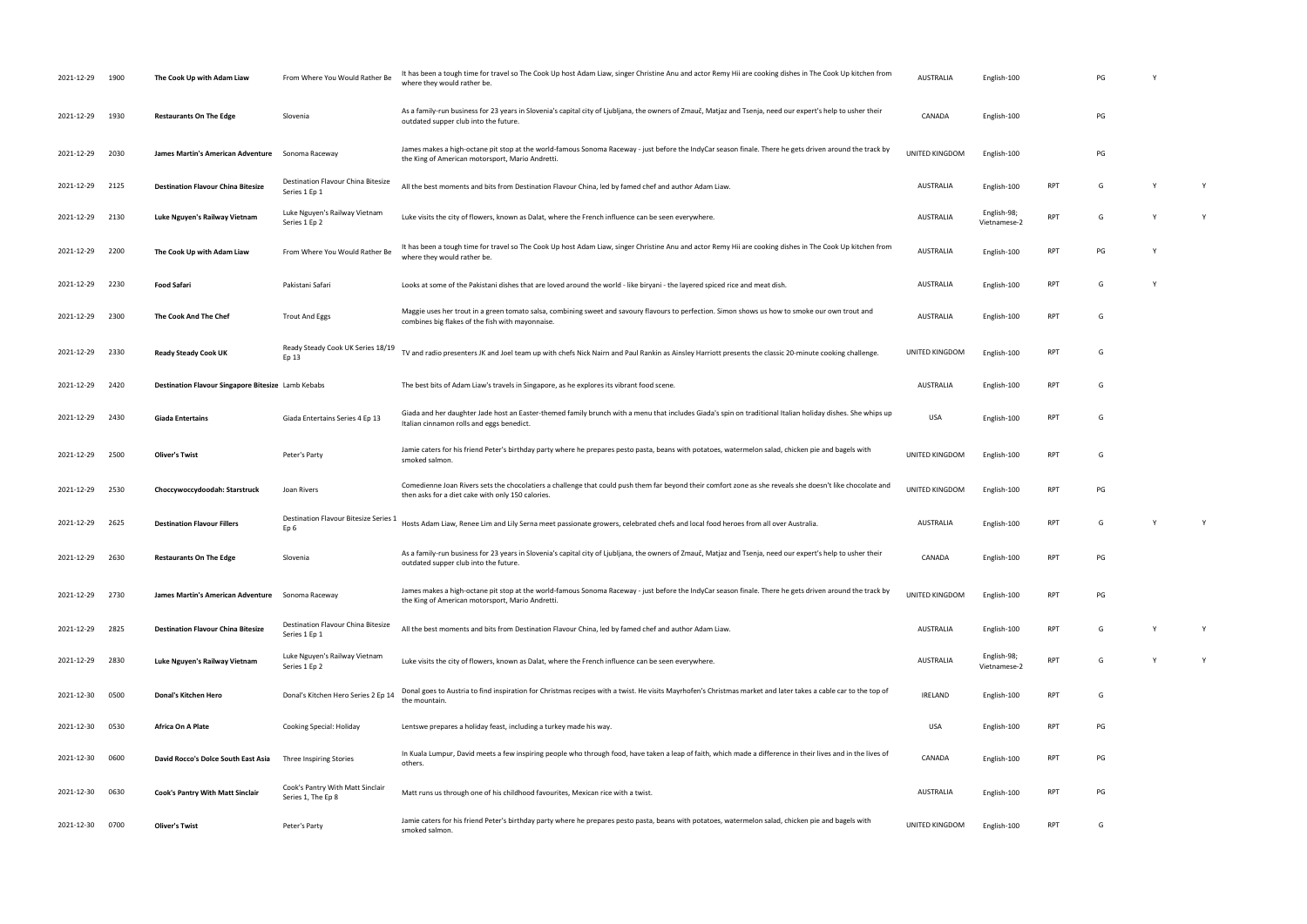| 2021-12-29      | 1900 | The Cook Up with Adam Liaw                         | From Where You Would Rather Be                         | It has been a tough time for travel so The Cook Up host Adam Liaw, singer Christine Anu and actor Remy Hii are cooking dishes in The Cook Up kitchen from<br>where they would rather be.                       | AUSTRALIA      | English-100                 |            | PG |   |
|-----------------|------|----------------------------------------------------|--------------------------------------------------------|----------------------------------------------------------------------------------------------------------------------------------------------------------------------------------------------------------------|----------------|-----------------------------|------------|----|---|
| 2021-12-29 1930 |      | <b>Restaurants On The Edge</b>                     | Slovenia                                               | As a family-run business for 23 years in Slovenia's capital city of Ljubljana, the owners of Zmauč, Matjaz and Tsenja, need our expert's help to usher their<br>outdated supper club into the future.          | CANADA         | English-100                 |            | PG |   |
| 2021-12-29 2030 |      | James Martin's American Adventure                  | Sonoma Raceway                                         | James makes a high-octane pit stop at the world-famous Sonoma Raceway - just before the IndyCar season finale. There he gets driven around the track by<br>the King of American motorsport, Mario Andretti.    | UNITED KINGDOM | English-100                 |            | PG |   |
| 2021-12-29 2125 |      | <b>Destination Flavour China Bitesize</b>          | Destination Flavour China Bitesize<br>Series 1 Ep 1    | All the best moments and bits from Destination Flavour China, led by famed chef and author Adam Liaw.                                                                                                          | AUSTRALIA      | English-100                 | <b>RPT</b> | G  | Y |
| 2021-12-29      | 2130 | Luke Nguyen's Railway Vietnam                      | Luke Nguyen's Railway Vietnam<br>Series 1 Ep 2         | Luke visits the city of flowers, known as Dalat, where the French influence can be seen everywhere.                                                                                                            | AUSTRALIA      | English-98;<br>Vietnamese-2 | RPT        | G  | Y |
| 2021-12-29      | 2200 | The Cook Up with Adam Liaw                         | From Where You Would Rather Be                         | It has been a tough time for travel so The Cook Up host Adam Liaw, singer Christine Anu and actor Remy Hii are cooking dishes in The Cook Up kitchen from<br>where they would rather be.                       | AUSTRALIA      | English-100                 | <b>RPT</b> | PG |   |
| 2021-12-29 2230 |      | <b>Food Safari</b>                                 | Pakistani Safari                                       | Looks at some of the Pakistani dishes that are loved around the world - like biryani - the layered spiced rice and meat dish.                                                                                  | AUSTRALIA      | English-100                 | <b>RPT</b> | G  |   |
| 2021-12-29      | 2300 | The Cook And The Chef                              | <b>Trout And Eggs</b>                                  | Maggie uses her trout in a green tomato salsa, combining sweet and savoury flavours to perfection. Simon shows us how to smoke our own trout and<br>combines big flakes of the fish with mayonnaise.           | AUSTRALIA      | English-100                 | <b>RPT</b> | G  |   |
| 2021-12-29 2330 |      | <b>Ready Steady Cook UK</b>                        | Ready Steady Cook UK Series 18/19<br>Ep 13             | TV and radio presenters JK and Joel team up with chefs Nick Nairn and Paul Rankin as Ainsley Harriott presents the classic 20-minute cooking challenge.                                                        | UNITED KINGDOM | English-100                 | RPT        | G  |   |
| 2021-12-29      | 2420 | Destination Flavour Singapore Bitesize Lamb Kebabs |                                                        | The best bits of Adam Liaw's travels in Singapore, as he explores its vibrant food scene.                                                                                                                      | AUSTRALIA      | English-100                 | <b>RPT</b> | G  |   |
| 2021-12-29      | 2430 | <b>Giada Entertains</b>                            | Giada Entertains Series 4 Ep 13                        | Giada and her daughter Jade host an Easter-themed family brunch with a menu that includes Giada's spin on traditional Italian holiday dishes. She whips up<br>Italian cinnamon rolls and eggs benedict.        | USA            | English-100                 | <b>RPT</b> | G  |   |
| 2021-12-29 2500 |      | <b>Oliver's Twist</b>                              | Peter's Party                                          | Jamie caters for his friend Peter's birthday party where he prepares pesto pasta, beans with potatoes, watermelon salad, chicken pie and bagels with<br>smoked salmon.                                         | UNITED KINGDOM | English-100                 | <b>RPT</b> | G  |   |
| 2021-12-29      | 2530 | Choccywoccydoodah: Starstruck                      | Joan Rivers                                            | Comedienne Joan Rivers sets the chocolatiers a challenge that could push them far beyond their comfort zone as she reveals she doesn't like chocolate and<br>then asks for a diet cake with only 150 calories. | UNITED KINGDOM | English-100                 | <b>RPT</b> | PG |   |
| 2021-12-29 2625 |      | <b>Destination Flavour Fillers</b>                 | Destination Flavour Bitesize Series :<br>Ep 6          | Hosts Adam Liaw, Renee Lim and Lily Serna meet passionate growers, celebrated chefs and local food heroes from all over Australia.                                                                             | AUSTRALIA      | English-100                 | RPT        | G  | Y |
| 2021-12-29 2630 |      | <b>Restaurants On The Edge</b>                     | Slovenia                                               | As a family-run business for 23 years in Slovenia's capital city of Ljubljana, the owners of Zmauč, Matjaz and Tsenja, need our expert's help to usher their<br>outdated supper club into the future.          | CANADA         | English-100                 | <b>RPT</b> |    |   |
| 2021-12-29 2730 |      | James Martin's American Adventure                  | Sonoma Raceway                                         | James makes a high-octane pit stop at the world-famous Sonoma Raceway - just before the IndyCar season finale. There he gets driven around the track by<br>the King of American motorsport, Mario Andretti.    | UNITED KINGDOM | English-100                 | <b>RPT</b> | PG |   |
| 2021-12-29      | 2825 | <b>Destination Flavour China Bitesize</b>          | Destination Flavour China Bitesize<br>Series 1 Ep 1    | All the best moments and bits from Destination Flavour China, led by famed chef and author Adam Liaw.                                                                                                          | AUSTRALIA      | English-100                 | RPT        | G  | Y |
| 2021-12-29      | 2830 | Luke Nguyen's Railway Vietnam                      | Luke Nguyen's Railway Vietnam<br>Series 1 Ep 2         | Luke visits the city of flowers, known as Dalat, where the French influence can be seen everywhere.                                                                                                            | AUSTRALIA      | English-98;<br>Vietnamese-2 | <b>RPT</b> | G  | Y |
| 2021-12-30      | 0500 | Donal's Kitchen Hero                               | Donal's Kitchen Hero Series 2 Ep 14                    | Donal goes to Austria to find inspiration for Christmas recipes with a twist. He visits Mayrhofen's Christmas market and later takes a cable car to the top of<br>the mountain.                                | IRELAND        | English-100                 | <b>RPT</b> | G  |   |
| 2021-12-30      | 0530 | Africa On A Plate                                  | Cooking Special: Holiday                               | Lentswe prepares a holiday feast, including a turkey made his way.                                                                                                                                             | USA            | English-100                 | <b>RPT</b> | PG |   |
| 2021-12-30      | 0600 | David Rocco's Dolce South East Asia                | Three Inspiring Stories                                | In Kuala Lumpur, David meets a few inspiring people who through food, have taken a leap of faith, which made a difference in their lives and in the lives of<br>others.                                        | CANADA         | English-100                 | <b>RPT</b> | PG |   |
| 2021-12-30      | 0630 | <b>Cook's Pantry With Matt Sinclair</b>            | Cook's Pantry With Matt Sinclair<br>Series 1, The Ep 8 | Matt runs us through one of his childhood favourites, Mexican rice with a twist.                                                                                                                               | AUSTRALIA      | English-100                 | <b>RPT</b> | PG |   |
| 2021-12-30      | 0700 | <b>Oliver's Twist</b>                              | Peter's Party                                          | Jamie caters for his friend Peter's birthday party where he prepares pesto pasta, beans with potatoes, watermelon salad, chicken pie and bagels with<br>smoked salmon.                                         | UNITED KINGDOM | English-100                 | <b>RPT</b> | G  |   |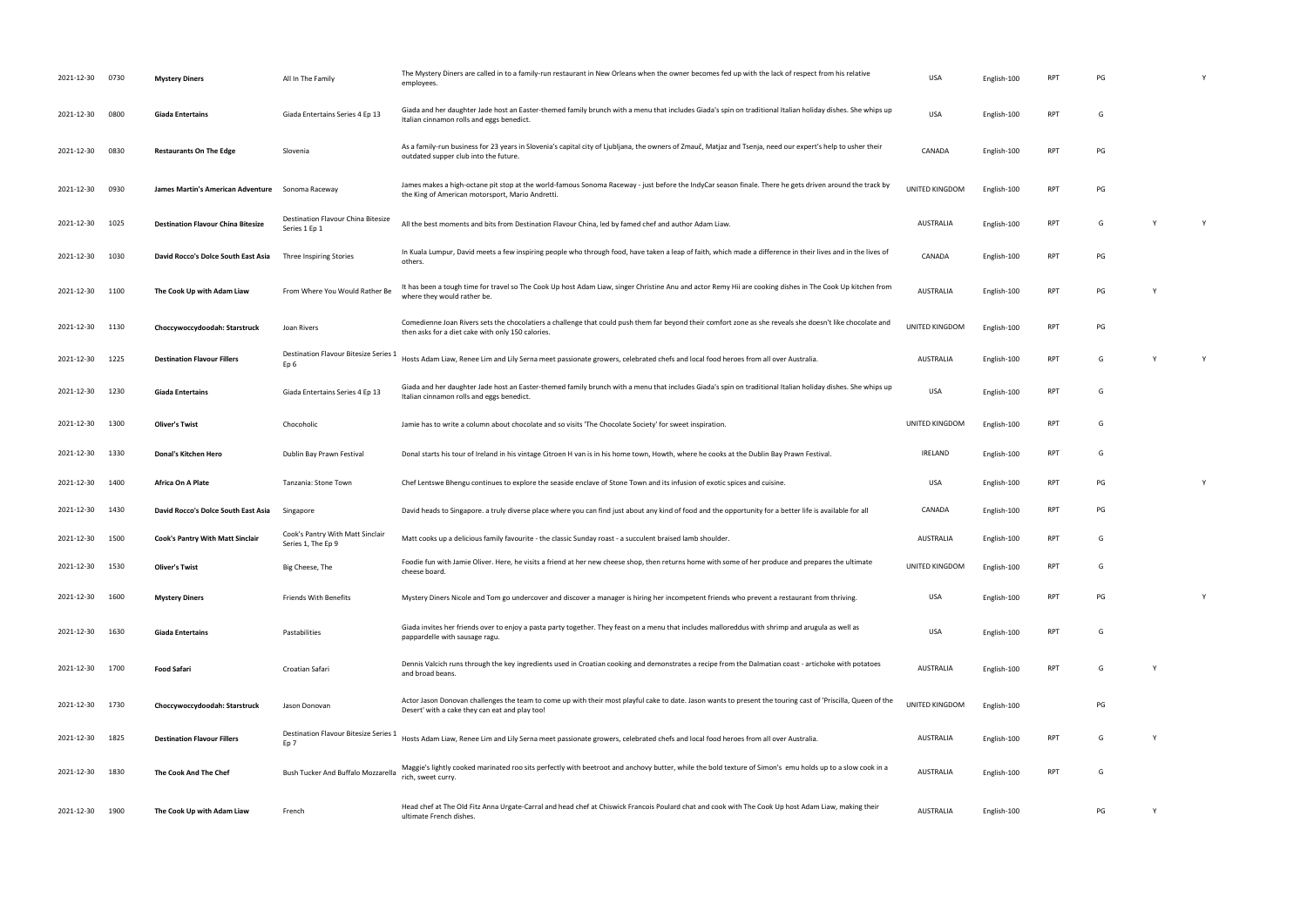| 2021-12-30 | 0730 | <b>Mystery Diners</b>                     | All In The Family                                               | The Mystery Diners are called in to a family-run restaurant in New Orleans when the owner becomes fed up with the lack of respect from his relative<br>employees.                                              | <b>USA</b>            | English-100 | <b>RPT</b> | PG |   |  |
|------------|------|-------------------------------------------|-----------------------------------------------------------------|----------------------------------------------------------------------------------------------------------------------------------------------------------------------------------------------------------------|-----------------------|-------------|------------|----|---|--|
| 2021-12-30 | 0800 | <b>Giada Entertains</b>                   | Giada Entertains Series 4 Ep 13                                 | Giada and her daughter Jade host an Easter-themed family brunch with a menu that includes Giada's spin on traditional Italian holiday dishes. She whips up<br>Italian cinnamon rolls and eggs benedict.        | <b>USA</b>            | English-100 | <b>RPT</b> | G  |   |  |
| 2021-12-30 | 0830 | <b>Restaurants On The Edge</b>            | Slovenia                                                        | As a family-run business for 23 years in Slovenia's capital city of Ljubljana, the owners of Zmauč, Matjaz and Tsenja, need our expert's help to usher their<br>outdated supper club into the future.          | CANADA                | English-100 | <b>RPT</b> | PG |   |  |
| 2021-12-30 | 0930 | James Martin's American Adventure         | Sonoma Raceway                                                  | James makes a high-octane pit stop at the world-famous Sonoma Raceway - just before the IndyCar season finale. There he gets driven around the track by<br>the King of American motorsport, Mario Andretti.    | <b>UNITED KINGDOM</b> | English-100 | <b>RPT</b> | PG |   |  |
| 2021-12-30 | 1025 | <b>Destination Flavour China Bitesize</b> | Destination Flavour China Bitesize<br>Series 1 Ep 1             | All the best moments and bits from Destination Flavour China, led by famed chef and author Adam Liaw.                                                                                                          | AUSTRALIA             | English-100 | <b>RPT</b> | G  |   |  |
| 2021-12-30 | 1030 | David Rocco's Dolce South East Asia       | Three Inspiring Stories                                         | In Kuala Lumpur, David meets a few inspiring people who through food, have taken a leap of faith, which made a difference in their lives and in the lives of<br>others.                                        | CANADA                | English-100 | <b>RPT</b> | PG |   |  |
| 2021-12-30 | 1100 | The Cook Up with Adam Liaw                | From Where You Would Rather Be                                  | It has been a tough time for travel so The Cook Up host Adam Liaw, singer Christine Anu and actor Remy Hii are cooking dishes in The Cook Up kitchen from<br>where they would rather be.                       | <b>AUSTRALIA</b>      | English-100 | <b>RPT</b> | PG |   |  |
| 2021-12-30 | 1130 | Choccywoccydoodah: Starstruck             | Joan Rivers                                                     | Comedienne Joan Rivers sets the chocolatiers a challenge that could push them far beyond their comfort zone as she reveals she doesn't like chocolate and<br>then asks for a diet cake with only 150 calories. | UNITED KINGDOM        | English-100 | <b>RPT</b> | PG |   |  |
| 2021-12-30 | 1225 | <b>Destination Flavour Fillers</b>        | <b>Destination Flavour Bitesize Series 1</b><br>Ep <sub>6</sub> | Hosts Adam Liaw, Renee Lim and Lily Serna meet passionate growers, celebrated chefs and local food heroes from all over Australia.                                                                             | AUSTRALIA             | English-100 | <b>RPT</b> | G  | Y |  |
| 2021-12-30 | 1230 | <b>Giada Entertains</b>                   | Giada Entertains Series 4 Ep 13                                 | Giada and her daughter Jade host an Easter-themed family brunch with a menu that includes Giada's spin on traditional Italian holiday dishes. She whips up<br>Italian cinnamon rolls and eggs benedict.        | <b>USA</b>            | English-100 | <b>RPT</b> | G  |   |  |
| 2021-12-30 | 1300 | Oliver's Twist                            | Chocoholic                                                      | Jamie has to write a column about chocolate and so visits 'The Chocolate Society' for sweet inspiration.                                                                                                       | UNITED KINGDOM        | English-100 | <b>RPT</b> | G  |   |  |
| 2021-12-30 | 1330 | Donal's Kitchen Hero                      | Dublin Bay Prawn Festival                                       | Donal starts his tour of Ireland in his vintage Citroen H van is in his home town, Howth, where he cooks at the Dublin Bay Prawn Festival.                                                                     | IRELAND               | English-100 | <b>RPT</b> | G  |   |  |
| 2021-12-30 | 1400 | Africa On A Plate                         | Tanzania: Stone Town                                            | Chef Lentswe Bhengu continues to explore the seaside enclave of Stone Town and its infusion of exotic spices and cuisine.                                                                                      | <b>USA</b>            | English-100 | <b>RPT</b> | PG |   |  |
| 2021-12-30 | 1430 | David Rocco's Dolce South East Asia       | Singapore                                                       | David heads to Singapore. a truly diverse place where you can find just about any kind of food and the opportunity for a better life is available for all                                                      | CANADA                | English-100 | <b>RPT</b> | PG |   |  |
| 2021-12-30 | 1500 | Cook's Pantry With Matt Sinclair          | Cook's Pantry With Matt Sinclair<br>Series 1, The Ep 9          | Matt cooks up a delicious family favourite - the classic Sunday roast - a succulent braised lamb shoulder.                                                                                                     | AUSTRALIA             | English-100 | <b>RPT</b> | G  |   |  |
| 2021-12-30 | 1530 | <b>Oliver's Twist</b>                     | Big Cheese, The                                                 | Foodie fun with Jamie Oliver. Here, he visits a friend at her new cheese shop, then returns home with some of her produce and prepares the ultimate<br>cheese board.                                           | UNITED KINGDOM        | English-100 | <b>RPT</b> | G  |   |  |
| 2021-12-30 | 1600 | <b>Mystery Diners</b>                     | Friends With Benefits                                           | Mystery Diners Nicole and Tom go undercover and discover a manager is hiring her incompetent friends who prevent a restaurant from thriving.                                                                   | USA                   | English-100 | <b>RPT</b> | PG |   |  |
| 2021-12-30 | 1630 | <b>Giada Entertains</b>                   | Pastabilities                                                   | Giada invites her friends over to enjoy a pasta party together. They feast on a menu that includes malloreddus with shrimp and arugula as well as<br>pappardelle with sausage ragu.                            | <b>USA</b>            | English-100 | <b>RPT</b> | G  |   |  |
| 2021-12-30 | 1700 | <b>Food Safari</b>                        | Croatian Safari                                                 | Dennis Valcich runs through the key ingredients used in Croatian cooking and demonstrates a recipe from the Dalmatian coast - artichoke with potatoes<br>and broad beans.                                      | AUSTRALIA             | English-100 | <b>RPT</b> | G  |   |  |
| 2021-12-30 | 1730 | Choccywoccydoodah: Starstruck             | Jason Donovan                                                   | Actor Jason Donovan challenges the team to come up with their most playful cake to date. Jason wants to present the touring cast of 'Priscilla, Queen of the<br>Desert' with a cake they can eat and play too! | UNITED KINGDOM        | English-100 |            | PG |   |  |
| 2021-12-30 | 1825 | <b>Destination Flavour Fillers</b>        | Destination Flavour Bitesize Series 1<br>Ep 7                   | Hosts Adam Liaw, Renee Lim and Lily Serna meet passionate growers, celebrated chefs and local food heroes from all over Australia.                                                                             | AUSTRALIA             | English-100 | <b>RPT</b> | G  |   |  |
| 2021-12-30 | 1830 | The Cook And The Chef                     | Bush Tucker And Buffalo Mozzarella                              | Maggie's lightly cooked marinated roo sits perfectly with beetroot and anchovy butter, while the bold texture of Simon's emu holds up to a slow cook in a<br>rich, sweet curry.                                | AUSTRALIA             | English-100 | <b>RPT</b> | G  |   |  |
| 2021-12-30 | 1900 | The Cook Up with Adam Liaw                | French                                                          | Head chef at The Old Fitz Anna Urgate-Carral and head chef at Chiswick Francois Poulard chat and cook with The Cook Up host Adam Liaw, making their<br>ultimate French dishes.                                 | AUSTRALIA             | English-100 |            | PG |   |  |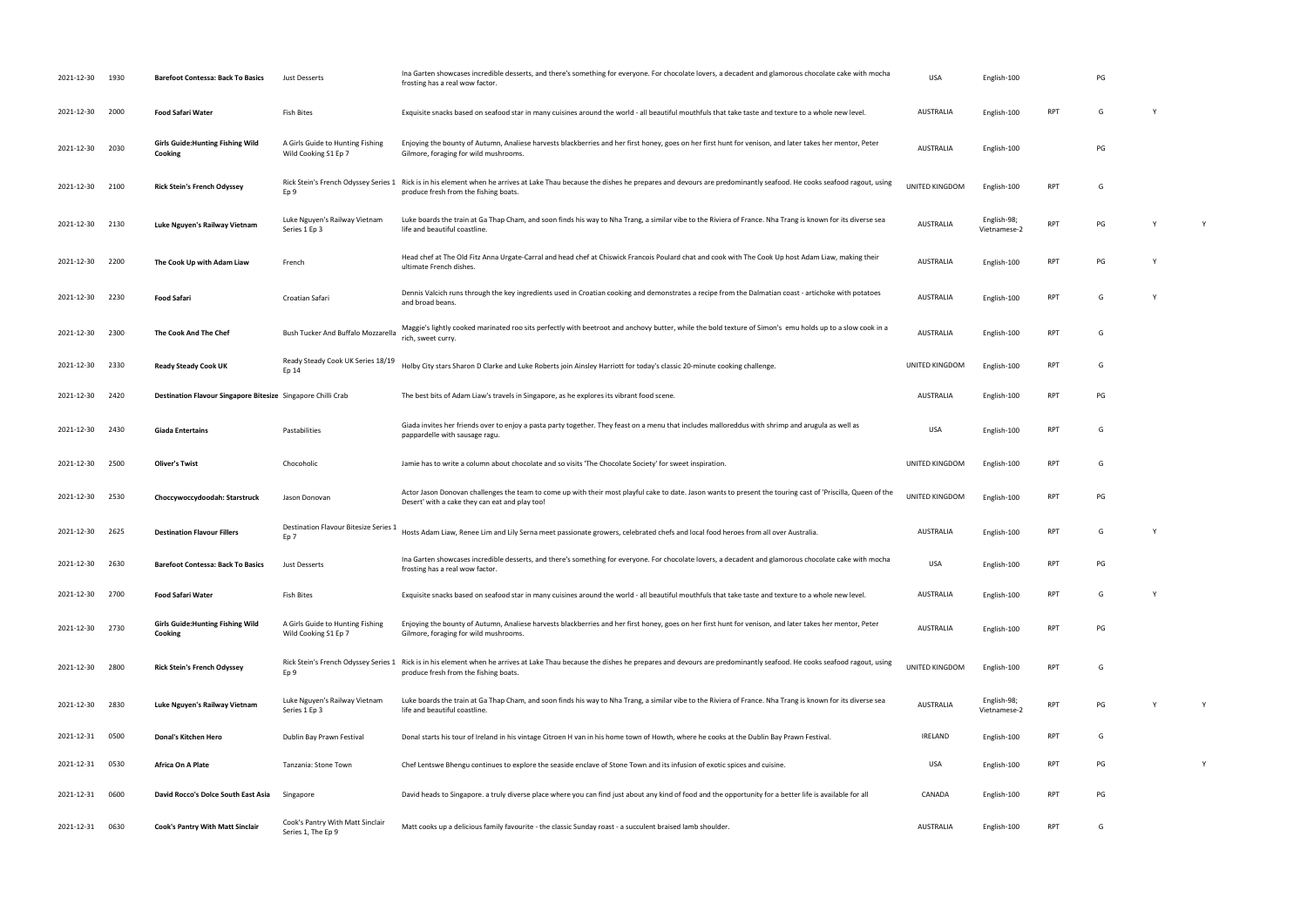| 2021-12-30      | 1930 | <b>Barefoot Contessa: Back To Basics</b>                     | Just Desserts                                            | Ina Garten showcases incredible desserts, and there's something for everyone. For chocolate lovers, a decadent and glamorous chocolate cake with mocha<br>frosting has a real wow factor.                      | <b>USA</b>            | English-100                 |            | PG |              |   |
|-----------------|------|--------------------------------------------------------------|----------------------------------------------------------|----------------------------------------------------------------------------------------------------------------------------------------------------------------------------------------------------------------|-----------------------|-----------------------------|------------|----|--------------|---|
| 2021-12-30      | 2000 | <b>Food Safari Water</b>                                     | Fish Bites                                               | Exquisite snacks based on seafood star in many cuisines around the world - all beautiful mouthfuls that take taste and texture to a whole new level.                                                           | AUSTRALIA             | English-100                 | <b>RPT</b> | G  | $\mathsf{Y}$ |   |
| 2021-12-30      | 2030 | <b>Girls Guide: Hunting Fishing Wild</b><br><b>Cooking</b>   | A Girls Guide to Hunting Fishing<br>Wild Cooking S1 Ep 7 | Enjoying the bounty of Autumn, Analiese harvests blackberries and her first honey, goes on her first hunt for venison, and later takes her mentor, Peter<br>Gilmore, foraging for wild mushrooms.              | <b>AUSTRALIA</b>      | English-100                 |            | PG |              |   |
| 2021-12-30      | 2100 | <b>Rick Stein's French Odyssey</b>                           | Rick Stein's French Odyssey Series 1<br>Ep 9             | Rick is in his element when he arrives at Lake Thau because the dishes he prepares and devours are predominantly seafood. He cooks seafood ragout, using<br>produce fresh from the fishing boats.              | UNITED KINGDOM        | English-100                 | <b>RPT</b> | G  |              |   |
| 2021-12-30      | 2130 | Luke Nguyen's Railway Vietnam                                | Luke Nguyen's Railway Vietnam<br>Series 1 Ep 3           | Luke boards the train at Ga Thap Cham, and soon finds his way to Nha Trang, a similar vibe to the Riviera of France. Nha Trang is known for its diverse sea<br>life and beautiful coastline.                   | <b>AUSTRALIA</b>      | English-98;<br>Vietnamese-2 | <b>RPT</b> | PG |              | Y |
| 2021-12-30      | 2200 | The Cook Up with Adam Liaw                                   | French                                                   | Head chef at The Old Fitz Anna Urgate-Carral and head chef at Chiswick Francois Poulard chat and cook with The Cook Up host Adam Liaw, making their<br>ultimate French dishes.                                 | <b>AUSTRALIA</b>      | English-100                 | <b>RPT</b> | PG |              |   |
| 2021-12-30      | 2230 | <b>Food Safari</b>                                           | Croatian Safari                                          | Dennis Valcich runs through the key ingredients used in Croatian cooking and demonstrates a recipe from the Dalmatian coast - artichoke with potatoes<br>and broad beans.                                      | AUSTRALIA             | English-100                 | <b>RPT</b> | G  |              |   |
| 2021-12-30      | 2300 | The Cook And The Chef                                        | Bush Tucker And Buffalo Mozzarella                       | Maggie's lightly cooked marinated roo sits perfectly with beetroot and anchovy butter, while the bold texture of Simon's emu holds up to a slow cook in a<br>rich, sweet curry.                                | <b>AUSTRALIA</b>      | English-100                 | <b>RPT</b> | G  |              |   |
| 2021-12-30      | 2330 | <b>Ready Steady Cook UK</b>                                  | Ready Steady Cook UK Series 18/19<br>Ep 14               | Holby City stars Sharon D Clarke and Luke Roberts join Ainsley Harriott for today's classic 20-minute cooking challenge.                                                                                       | UNITED KINGDOM        | English-100                 | <b>RPT</b> | G  |              |   |
| 2021-12-30      | 2420 | Destination Flavour Singapore Bitesize Singapore Chilli Crab |                                                          | The best bits of Adam Liaw's travels in Singapore, as he explores its vibrant food scene.                                                                                                                      | AUSTRALIA             | English-100                 | <b>RPT</b> | PG |              |   |
| 2021-12-30 2430 |      | <b>Giada Entertains</b>                                      | Pastabilities                                            | Giada invites her friends over to enjoy a pasta party together. They feast on a menu that includes malloreddus with shrimp and arugula as well as<br>pappardelle with sausage ragu                             | <b>USA</b>            | English-100                 | <b>RPT</b> | G  |              |   |
| 2021-12-30      | 2500 | <b>Oliver's Twist</b>                                        | Chocoholic                                               | Jamie has to write a column about chocolate and so visits 'The Chocolate Society' for sweet inspiration                                                                                                        | UNITED KINGDOM        | English-100                 | RPT        | G  |              |   |
| 2021-12-30      | 2530 | Choccywoccydoodah: Starstruck                                | Jason Donovan                                            | Actor Jason Donovan challenges the team to come up with their most playful cake to date. Jason wants to present the touring cast of 'Priscilla, Queen of the<br>Desert' with a cake they can eat and play too! | <b>UNITED KINGDOM</b> | English-100                 | <b>RPT</b> | PG |              |   |
| 2021-12-30      | 2625 | <b>Destination Flavour Fillers</b>                           | Destination Flavour Bitesize Series 1<br>Ep 7            | Hosts Adam Liaw, Renee Lim and Lily Serna meet passionate growers, celebrated chefs and local food heroes from all over Australia.                                                                             | <b>AUSTRALIA</b>      | English-100                 | <b>RPT</b> | G  |              |   |
| 2021-12-30 2630 |      | <b>Barefoot Contessa: Back To Basics</b>                     | Just Desserts                                            | Ina Garten showcases incredible desserts, and there's something for everyone. For chocolate lovers, a decadent and glamorous chocolate cake with mocha<br>frosting has a real wow factor.                      | <b>USA</b>            | English-100                 | <b>RPT</b> | PG |              |   |
| 2021-12-30 2700 |      | <b>Food Safari Water</b>                                     | Fish Bites                                               | Exquisite snacks based on seafood star in many cuisines around the world - all beautiful mouthfuls that take taste and texture to a whole new level.                                                           | <b>AUSTRALIA</b>      | English-100                 | <b>RPT</b> | G  | Y            |   |
| 2021-12-30      | 2730 | <b>Girls Guide: Hunting Fishing Wild</b><br>Cooking          | A Girls Guide to Hunting Fishing<br>Wild Cooking S1 Ep 7 | Enjoying the bounty of Autumn, Analiese harvests blackberries and her first honey, goes on her first hunt for venison, and later takes her mentor, Peter<br>Gilmore, foraging for wild mushrooms.              | AUSTRALIA             | English-100                 | RPT        | PG |              |   |
| 2021-12-30      | 2800 | <b>Rick Stein's French Odyssey</b>                           | Rick Stein's French Odyssey Series 1<br>Ep 9             | Rick is in his element when he arrives at Lake Thau because the dishes he prepares and devours are predominantly seafood. He cooks seafood ragout, using<br>produce fresh from the fishing boats.              | UNITED KINGDOM        | English-100                 | <b>RPT</b> | G  |              |   |
| 2021-12-30      | 2830 | Luke Nguyen's Railway Vietnam                                | Luke Nguyen's Railway Vietnam<br>Series 1 Ep 3           | Luke boards the train at Ga Thap Cham, and soon finds his way to Nha Trang, a similar vibe to the Riviera of France. Nha Trang is known for its diverse sea<br>life and beautiful coastline.                   | AUSTRALIA             | English-98;<br>Vietnamese-2 | <b>RPT</b> | PG |              | Y |
| 2021-12-31      | 0500 | Donal's Kitchen Hero                                         | Dublin Bay Prawn Festival                                | Donal starts his tour of Ireland in his vintage Citroen H van in his home town of Howth, where he cooks at the Dublin Bay Prawn Festival.                                                                      | <b>IRELAND</b>        | English-100                 | RPT        | G  |              |   |
| 2021-12-31      | 0530 | Africa On A Plate                                            | Tanzania: Stone Town                                     | Chef Lentswe Bhengu continues to explore the seaside enclave of Stone Town and its infusion of exotic spices and cuisine.                                                                                      | USA                   | English-100                 | RPT        | PG |              | Y |
| 2021-12-31      | 0600 | David Rocco's Dolce South East Asia                          | Singapore                                                | David heads to Singapore. a truly diverse place where you can find just about any kind of food and the opportunity for a better life is available for all                                                      | CANADA                | English-100                 | RPT        | PG |              |   |
| 2021-12-31 0630 |      | <b>Cook's Pantry With Matt Sinclair</b>                      | Cook's Pantry With Matt Sinclair<br>Series 1, The Ep 9   | Matt cooks up a delicious family favourite - the classic Sunday roast - a succulent braised lamb shoulder.                                                                                                     | <b>AUSTRALIA</b>      | English-100                 | <b>RPT</b> | G  |              |   |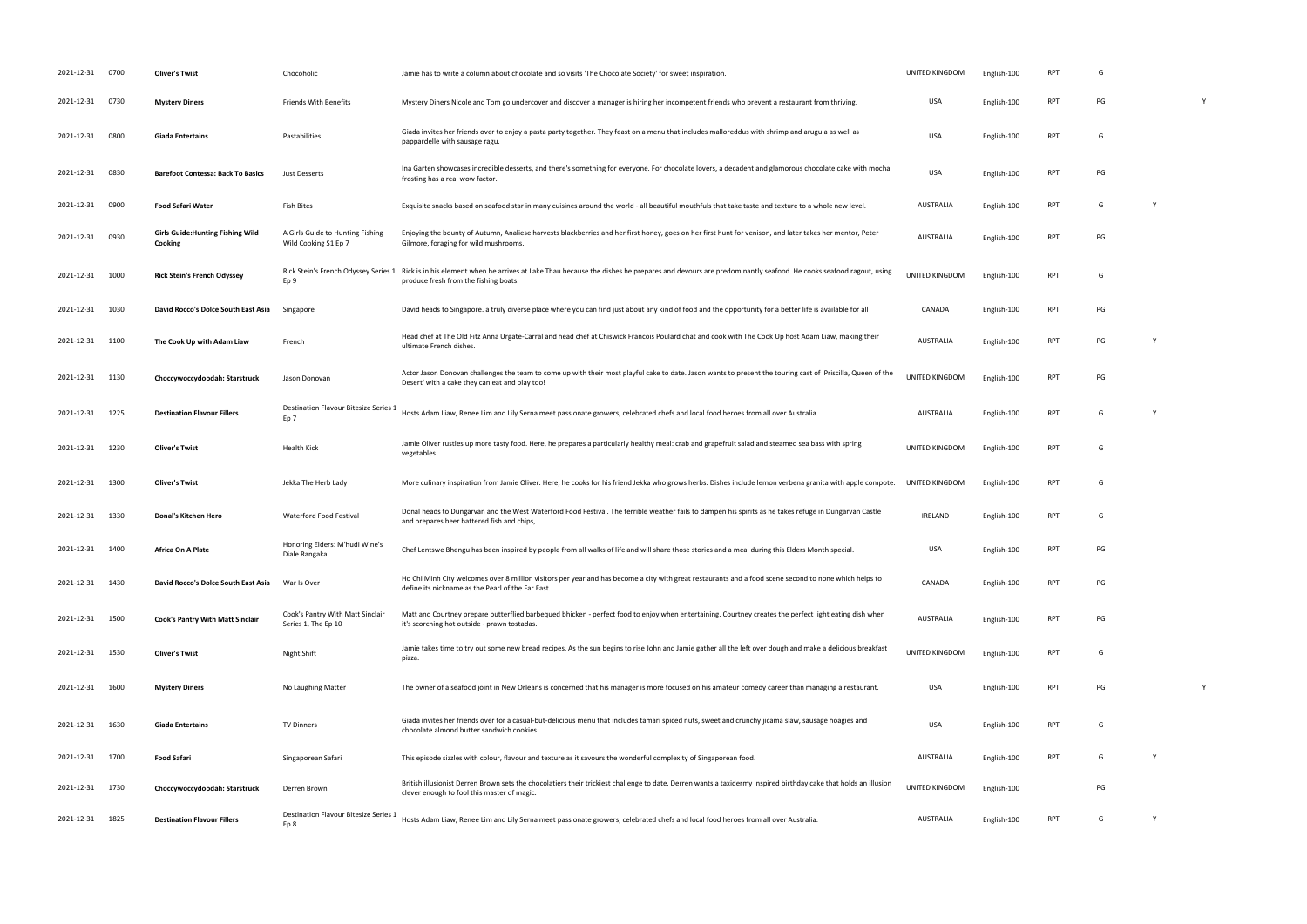| 2021-12-31 0700 |      | <b>Oliver's Twist</b>                               | Chocoholic                                               | Jamie has to write a column about chocolate and so visits 'The Chocolate Society' for sweet inspiration                                                                                                                                | UNITED KINGDOM   | English-100 | <b>RPT</b> |    |   |   |
|-----------------|------|-----------------------------------------------------|----------------------------------------------------------|----------------------------------------------------------------------------------------------------------------------------------------------------------------------------------------------------------------------------------------|------------------|-------------|------------|----|---|---|
| 2021-12-31      | 0730 | <b>Mystery Diners</b>                               | <b>Friends With Benefits</b>                             | Mystery Diners Nicole and Tom go undercover and discover a manager is hiring her incompetent friends who prevent a restaurant from thriving.                                                                                           | USA              | English-100 | <b>RPT</b> | PG |   |   |
| 2021-12-31      | 0800 | <b>Giada Entertains</b>                             | Pastabilities                                            | Giada invites her friends over to enjoy a pasta party together. They feast on a menu that includes malloreddus with shrimp and arugula as well as<br>pappardelle with sausage ragu.                                                    | <b>USA</b>       | English-100 | RPT        | G  |   |   |
| 2021-12-31      | 0830 | <b>Barefoot Contessa: Back To Basics</b>            | Just Desserts                                            | Ina Garten showcases incredible desserts, and there's something for everyone. For chocolate lovers, a decadent and glamorous chocolate cake with mocha<br>frosting has a real wow factor.                                              | <b>USA</b>       | English-100 | RPT        | PG |   |   |
| 2021-12-31      | 0900 | <b>Food Safari Water</b>                            | <b>Fish Bites</b>                                        | Exquisite snacks based on seafood star in many cuisines around the world - all beautiful mouthfuls that take taste and texture to a whole new level.                                                                                   | AUSTRALIA        | English-100 | RPT        | G  | Y |   |
| 2021-12-31      | 0930 | <b>Girls Guide: Hunting Fishing Wild</b><br>Cooking | A Girls Guide to Hunting Fishing<br>Wild Cooking S1 Ep 7 | Enjoying the bounty of Autumn, Analiese harvests blackberries and her first honey, goes on her first hunt for venison, and later takes her mentor, Peter<br>Gilmore, foraging for wild mushrooms.                                      | AUSTRALIA        | English-100 | RPT        | PG |   |   |
| 2021-12-31      | 1000 | <b>Rick Stein's French Odyssey</b>                  | Ep 9                                                     | Rick Stein's French Odyssey Series 1 Rick is in his element when he arrives at Lake Thau because the dishes he prepares and devours are predominantly seafood. He cooks seafood ragout, using<br>produce fresh from the fishing boats. | UNITED KINGDOM   | English-100 | RPT        | G  |   |   |
| 2021-12-31      | 1030 | David Rocco's Dolce South East Asia                 | Singapore                                                | David heads to Singapore. a truly diverse place where you can find just about any kind of food and the opportunity for a better life is available for all                                                                              | CANADA           | English-100 | RPT        | PG |   |   |
| 2021-12-31 1100 |      | The Cook Up with Adam Liaw                          | French                                                   | Head chef at The Old Fitz Anna Urgate-Carral and head chef at Chiswick Francois Poulard chat and cook with The Cook Up host Adam Liaw, making their<br>ultimate French dishes.                                                         | <b>AUSTRALIA</b> | English-100 | RPT        | PG | Y |   |
| 2021-12-31 1130 |      | Choccywoccydoodah: Starstruck                       | Jason Donovan                                            | Actor Jason Donovan challenges the team to come up with their most playful cake to date. Jason wants to present the touring cast of 'Priscilla, Queen of the<br>Desert' with a cake they can eat and play too!                         | UNITED KINGDOM   | English-100 | <b>RPT</b> | PG |   |   |
| 2021-12-31 1225 |      | <b>Destination Flavour Fillers</b>                  | Destination Flavour Bitesize Series 1<br>Ep 7            | Hosts Adam Liaw, Renee Lim and Lily Serna meet passionate growers, celebrated chefs and local food heroes from all over Australia.                                                                                                     | <b>AUSTRALIA</b> | English-100 | <b>RPT</b> | G  | Y |   |
| 2021-12-31      | 1230 | Oliver's Twist                                      | Health Kick                                              | Jamie Oliver rustles up more tasty food. Here, he prepares a particularly healthy meal: crab and grapefruit salad and steamed sea bass with spring<br>vegetables.                                                                      | UNITED KINGDOM   | English-100 | RPT        | G  |   |   |
| 2021-12-31 1300 |      | <b>Oliver's Twist</b>                               | Jekka The Herb Lady                                      | More culinary inspiration from Jamie Oliver. Here, he cooks for his friend Jekka who grows herbs. Dishes include lemon verbena granita with apple compote.                                                                             | UNITED KINGDOM   | English-100 | <b>RPT</b> | G  |   |   |
| 2021-12-31      | 1330 | Donal's Kitchen Hero                                | Waterford Food Festival                                  | Donal heads to Dungarvan and the West Waterford Food Festival. The terrible weather fails to dampen his spirits as he takes refuge in Dungarvan Castle<br>and prepares beer battered fish and chips,                                   | IRELAND          | English-100 | RPT        | G  |   |   |
| 2021-12-31 1400 |      | <b>Africa On A Plate</b>                            | Honoring Elders: M'hudi Wine's<br>Diale Rangaka          | Chef Lentswe Bhengu has been inspired by people from all walks of life and will share those stories and a meal during this Elders Month special.                                                                                       | <b>USA</b>       | English-100 | <b>RPT</b> | PG |   |   |
| 2021-12-31 1430 |      | David Rocco's Dolce South East Asia                 | War Is Over                                              | Ho Chi Minh City welcomes over 8 million visitors per year and has become a city with great restaurants and a food scene second to none which helps to<br>define its nickname as the Pearl of the Far East.                            | CANADA           | English-100 | RPT        | PG |   |   |
| 2021-12-31      | 1500 | Cook's Pantry With Matt Sinclair                    | Cook's Pantry With Matt Sinclair<br>Series 1, The Ep 10  | Matt and Courtney prepare butterflied barbequed bhicken - perfect food to enjoy when entertaining. Courtney creates the perfect light eating dish when<br>it's scorching hot outside - prawn tostadas.                                 | AUSTRALIA        | English-100 | RPT        | PG |   |   |
| 2021-12-31      | 1530 | <b>Oliver's Twist</b>                               | Night Shift                                              | Jamie takes time to try out some new bread recipes. As the sun begins to rise John and Jamie gather all the left over dough and make a delicious breakfast<br>pizza.                                                                   | UNITED KINGDOM   | English-100 | RPT        | G  |   |   |
| 2021-12-31 1600 |      | <b>Mystery Diners</b>                               | No Laughing Matter                                       | The owner of a seafood joint in New Orleans is concerned that his manager is more focused on his amateur comedy career than managing a restaurant.                                                                                     | USA              | English-100 | <b>RPT</b> | PG |   | Y |
| 2021-12-31 1630 |      | <b>Giada Entertains</b>                             | <b>TV Dinners</b>                                        | Giada invites her friends over for a casual-but-delicious menu that includes tamari spiced nuts, sweet and crunchy jicama slaw, sausage hoagies and<br>chocolate almond butter sandwich cookies.                                       | <b>USA</b>       | English-100 | RPT        | G  |   |   |
| 2021-12-31 1700 |      | Food Safari                                         | Singaporean Safari                                       | This episode sizzles with colour, flavour and texture as it savours the wonderful complexity of Singaporean food.                                                                                                                      | AUSTRALIA        | English-100 | <b>RPT</b> | G  | Y |   |
| 2021-12-31 1730 |      | Choccywoccydoodah: Starstruck                       | Derren Brown                                             | British illusionist Derren Brown sets the chocolatiers their trickiest challenge to date. Derren wants a taxidermy inspired birthday cake that holds an illusion<br>clever enough to fool this master of magic.                        | UNITED KINGDOM   | English-100 |            | PG |   |   |
| 2021-12-31      | 1825 | <b>Destination Flavour Fillers</b>                  | Destination Flavour Bitesize Series 1<br>Ep 8            | Hosts Adam Liaw, Renee Lim and Lily Serna meet passionate growers, celebrated chefs and local food heroes from all over Australia.                                                                                                     | <b>AUSTRALIA</b> | English-100 | <b>RPT</b> | G  | Y |   |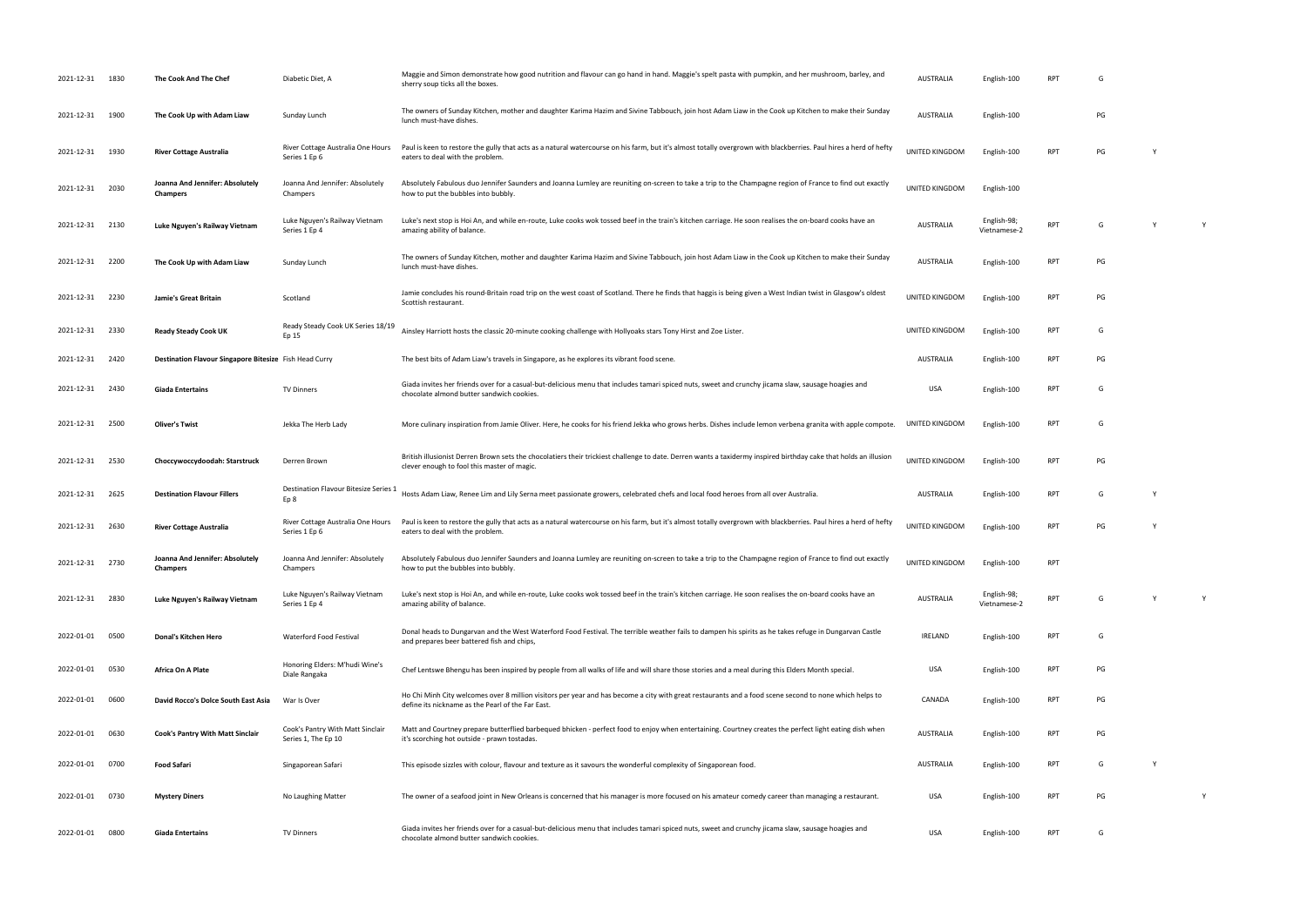| 2021-12-31 1830 |      | The Cook And The Chef                                  | Diabetic Diet, A                                        | Maggie and Simon demonstrate how good nutrition and flavour can go hand in hand. Maggie's spelt pasta with pumpkin, and her mushroom, barley, and<br>sherry soup ticks all the boxes                            | <b>AUSTRALIA</b> | English-100                 | RPT        |    |          |   |
|-----------------|------|--------------------------------------------------------|---------------------------------------------------------|-----------------------------------------------------------------------------------------------------------------------------------------------------------------------------------------------------------------|------------------|-----------------------------|------------|----|----------|---|
| 2021-12-31 1900 |      | The Cook Up with Adam Liaw                             | Sunday Lunch                                            | The owners of Sunday Kitchen, mother and daughter Karima Hazim and Sivine Tabbouch, join host Adam Liaw in the Cook up Kitchen to make their Sunday<br>lunch must-have dishes.                                  | <b>AUSTRALIA</b> | English-100                 |            | PG |          |   |
| 2021-12-31 1930 |      | <b>River Cottage Australia</b>                         | River Cottage Australia One Hours<br>Series 1 Ep 6      | Paul is keen to restore the gully that acts as a natural watercourse on his farm, but it's almost totally overgrown with blackberries. Paul hires a herd of hefty<br>eaters to deal with the problem.           | UNITED KINGDOM   | English-100                 | <b>RPT</b> | PG |          |   |
| 2021-12-31      | 2030 | Joanna And Jennifer: Absolutely<br><b>Champers</b>     | Joanna And Jennifer: Absolutely<br>Champers             | Absolutely Fabulous duo Jennifer Saunders and Joanna Lumley are reuniting on-screen to take a trip to the Champagne region of France to find out exactly<br>how to put the bubbles into bubbly.                 | UNITED KINGDOM   | English-100                 |            |    |          |   |
| 2021-12-31 2130 |      | Luke Nguyen's Railway Vietnam                          | Luke Nguyen's Railway Vietnam<br>Series 1 Ep 4          | Luke's next stop is Hoi An, and while en-route, Luke cooks wok tossed beef in the train's kitchen carriage. He soon realises the on-board cooks have an<br>amazing ability of balance.                          | <b>AUSTRALIA</b> | English-98;<br>Vietnamese-2 | <b>RPT</b> | G  | <b>Y</b> | Y |
| 2021-12-31 2200 |      | The Cook Up with Adam Liaw                             | Sunday Lunch                                            | The owners of Sunday Kitchen, mother and daughter Karima Hazim and Sivine Tabbouch, join host Adam Liaw in the Cook up Kitchen to make their Sunday<br>lunch must-have dishes.                                  | <b>AUSTRALIA</b> | English-100                 | <b>RPT</b> | PG |          |   |
| 2021-12-31 2230 |      | Jamie's Great Britain                                  | Scotland                                                | Jamie concludes his round-Britain road trip on the west coast of Scotland. There he finds that haggis is being given a West Indian twist in Glasgow's oldest<br>Scottish restaurant.                            | UNITED KINGDOM   | English-100                 | <b>RPT</b> | PG |          |   |
| 2021-12-31 2330 |      | <b>Ready Steady Cook UK</b>                            | Ready Steady Cook UK Series 18/19<br>Ep 15              | Ainsley Harriott hosts the classic 20-minute cooking challenge with Hollyoaks stars Tony Hirst and Zoe Lister.                                                                                                  | UNITED KINGDOM   | English-100                 | <b>RPT</b> | G  |          |   |
| 2021-12-31 2420 |      | Destination Flavour Singapore Bitesize Fish Head Curry |                                                         | The best bits of Adam Liaw's travels in Singapore, as he explores its vibrant food scene.                                                                                                                       | AUSTRALIA        | English-100                 | <b>RPT</b> | PG |          |   |
| 2021-12-31 2430 |      | <b>Giada Entertains</b>                                | <b>TV Dinners</b>                                       | Giada invites her friends over for a casual-but-delicious menu that includes tamari spiced nuts, sweet and crunchy jicama slaw, sausage hoagies and<br>chocolate almond butter sandwich cookies.                | <b>USA</b>       | English-100                 | <b>RPT</b> | G  |          |   |
| 2021-12-31 2500 |      | <b>Oliver's Twist</b>                                  | Jekka The Herb Lady                                     | More culinary inspiration from Jamie Oliver. Here, he cooks for his friend Jekka who grows herbs. Dishes include lemon verbena granita with apple compote.                                                      | UNITED KINGDOM   | English-100                 | <b>RPT</b> | G  |          |   |
| 2021-12-31 2530 |      | Choccywoccydoodah: Starstruck                          | Derren Brown                                            | British illusionist Derren Brown sets the chocolatiers their trickiest challenge to date. Derren wants a taxidermy inspired birthday cake that holds an illusion<br>clever enough to fool this master of magic. | UNITED KINGDOM   | English-100                 | <b>RPT</b> | PG |          |   |
| 2021-12-31      | 2625 | <b>Destination Flavour Fillers</b>                     | Destination Flavour Bitesize Series 1<br>Ep 8           | Hosts Adam Liaw, Renee Lim and Lily Serna meet passionate growers, celebrated chefs and local food heroes from all over Australia.                                                                              | <b>AUSTRALIA</b> | English-100                 | <b>RPT</b> | G  |          |   |
| 2021-12-31 2630 |      | <b>River Cottage Australia</b>                         | River Cottage Australia One Hours<br>Series 1 Ep 6      | Paul is keen to restore the gully that acts as a natural watercourse on his farm, but it's almost totally overgrown with blackberries. Paul hires a herd of hefty<br>eaters to deal with the problem.           | UNITED KINGDOM   | English-100                 | <b>RPT</b> | PG |          |   |
| 2021-12-31 2730 |      | Joanna And Jennifer: Absolutely<br><b>Champers</b>     | Joanna And Jennifer: Absolutely<br>Champers             | Absolutely Fabulous duo Jennifer Saunders and Joanna Lumley are reuniting on-screen to take a trip to the Champagne region of France to find out exactly<br>how to put the bubbles into bubbly.                 | UNITED KINGDOM   | English-100                 | <b>RPT</b> |    |          |   |
| 2021-12-31 2830 |      | Luke Nguyen's Railway Vietnam                          | Luke Nguyen's Railway Vietnam<br>Series 1 Ep 4          | Luke's next stop is Hoi An, and while en-route, Luke cooks wok tossed beef in the train's kitchen carriage. He soon realises the on-board cooks have an<br>amazing ability of balance.                          | <b>AUSTRALIA</b> | English-98;<br>Vietnamese-2 | <b>RPT</b> | G  | Y        | Y |
| 2022-01-01 0500 |      | Donal's Kitchen Hero                                   | Waterford Food Festival                                 | Donal heads to Dungarvan and the West Waterford Food Festival. The terrible weather fails to dampen his spirits as he takes refuge in Dungarvan Castle<br>and prepares beer battered fish and chips,            | <b>IRELAND</b>   | English-100                 | <b>RPT</b> | G  |          |   |
| 2022-01-01 0530 |      | Africa On A Plate                                      | Honoring Elders: M'hudi Wine's<br>Diale Rangaka         | Chef Lentswe Bhengu has been inspired by people from all walks of life and will share those stories and a meal during this Elders Month special.                                                                | USA              | English-100                 | <b>RPT</b> | PG |          |   |
| 2022-01-01 0600 |      | David Rocco's Dolce South East Asia                    | War Is Over                                             | Ho Chi Minh City welcomes over 8 million visitors per year and has become a city with great restaurants and a food scene second to none which helps to<br>define its nickname as the Pearl of the Far East.     | CANADA           | English-100                 | <b>RPT</b> | PG |          |   |
| 2022-01-01      | 0630 | <b>Cook's Pantry With Matt Sinclair</b>                | Cook's Pantry With Matt Sinclair<br>Series 1, The Ep 10 | Matt and Courtney prepare butterflied barbequed bhicken - perfect food to enjoy when entertaining. Courtney creates the perfect light eating dish when<br>it's scorching hot outside - prawn tostadas.          | <b>AUSTRALIA</b> | English-100                 | <b>RPT</b> | PG |          |   |
| 2022-01-01      | 0700 | <b>Food Safari</b>                                     | Singaporean Safari                                      | This episode sizzles with colour, flavour and texture as it savours the wonderful complexity of Singaporean food.                                                                                               | <b>AUSTRALIA</b> | English-100                 | RPT        | G  | Y        |   |
| 2022-01-01      | 0730 | <b>Mystery Diners</b>                                  | No Laughing Matter                                      | The owner of a seafood joint in New Orleans is concerned that his manager is more focused on his amateur comedy career than managing a restaurant.                                                              | USA              | English-100                 | <b>RPT</b> | PG |          | Y |
| 2022-01-01 0800 |      | Giada Entertains                                       | TV Dinners                                              | Giada invites her friends over for a casual-but-delicious menu that includes tamari spiced nuts, sweet and crunchy jicama slaw, sausage hoagies and<br>chocolate almond butter sandwich cookies.                | USA              | English-100                 | <b>RPT</b> | G  |          |   |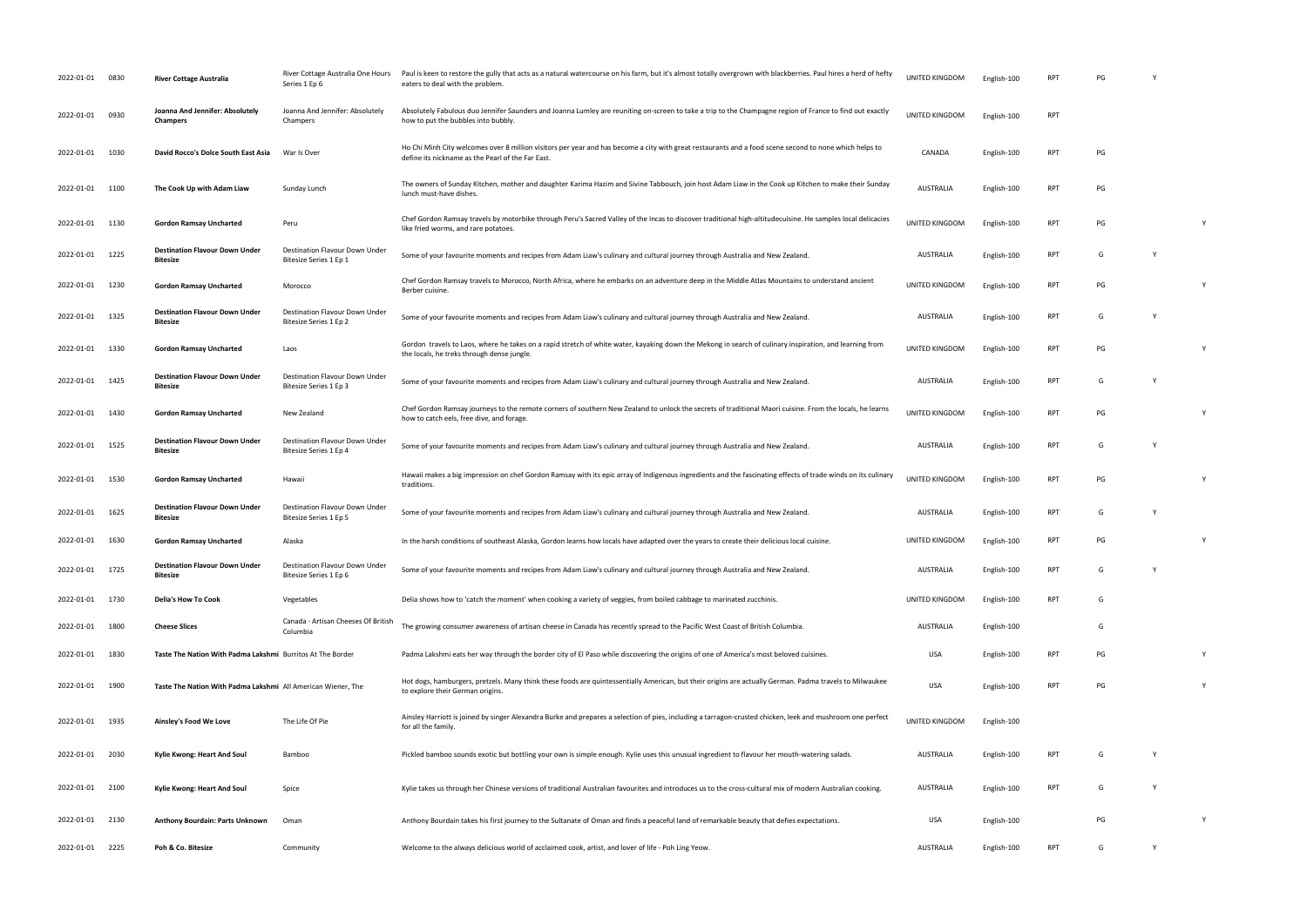| 2022-01-01      | 0830 | <b>River Cottage Australia</b>                               | River Cottage Australia One Hours<br>Series 1 Ep 6       | Paul is keen to restore the gully that acts as a natural watercourse on his farm, but it's almost totally overgrown with blackberries. Paul hires a herd of hefty<br>eaters to deal with the problem.       | UNITED KINGDOM | English-100 | <b>RPT</b> | PG |   |
|-----------------|------|--------------------------------------------------------------|----------------------------------------------------------|-------------------------------------------------------------------------------------------------------------------------------------------------------------------------------------------------------------|----------------|-------------|------------|----|---|
| 2022-01-01      | 0930 | Joanna And Jennifer: Absolutely<br><b>Champers</b>           | Joanna And Jennifer: Absolutely<br>Champers              | Absolutely Fabulous duo Jennifer Saunders and Joanna Lumley are reuniting on-screen to take a trip to the Champagne region of France to find out exactly<br>how to put the bubbles into bubbly.             | UNITED KINGDOM | English-100 | <b>RPT</b> |    |   |
| 2022-01-01      | 1030 | David Rocco's Dolce South East Asia                          | War Is Over                                              | Ho Chi Minh City welcomes over 8 million visitors per year and has become a city with great restaurants and a food scene second to none which helps to<br>define its nickname as the Pearl of the Far East. | CANADA         | English-100 | <b>RPT</b> | PG |   |
| 2022-01-01 1100 |      | The Cook Up with Adam Liaw                                   | Sunday Lunch                                             | The owners of Sunday Kitchen, mother and daughter Karima Hazim and Sivine Tabbouch, join host Adam Liaw in the Cook up Kitchen to make their Sunday<br>lunch must-have dishes.                              | AUSTRALIA      | English-100 | <b>RPT</b> | PG |   |
| 2022-01-01      | 1130 | <b>Gordon Ramsay Uncharted</b>                               | Peru                                                     | Chef Gordon Ramsay travels by motorbike through Peru's Sacred Valley of the Incas to discover traditional high-altitudecuisine. He samples local delicacies<br>like fried worms, and rare potatoes.         | UNITED KINGDOM | English-100 | <b>RPT</b> | PG |   |
| 2022-01-01      | 1225 | <b>Destination Flavour Down Under</b><br><b>Bitesize</b>     | Destination Flavour Down Under<br>Bitesize Series 1 Ep 1 | Some of your favourite moments and recipes from Adam Liaw's culinary and cultural journey through Australia and New Zealand.                                                                                | AUSTRALIA      | English-100 | <b>RPT</b> | G  |   |
| 2022-01-01      | 1230 | <b>Gordon Ramsay Uncharted</b>                               | Morocco                                                  | Chef Gordon Ramsay travels to Morocco, North Africa, where he embarks on an adventure deep in the Middle Atlas Mountains to understand ancient<br>Berber cuisine.                                           | UNITED KINGDOM | English-100 | <b>RPT</b> | PG | Y |
| 2022-01-01 1325 |      | <b>Destination Flavour Down Under</b><br>Bitesize            | Destination Flavour Down Under<br>Bitesize Series 1 Ep 2 | Some of your favourite moments and recipes from Adam Liaw's culinary and cultural journey through Australia and New Zealand.                                                                                | AUSTRALIA      | English-100 | <b>RPT</b> | G  |   |
| 2022-01-01      | 1330 | <b>Gordon Ramsay Uncharted</b>                               | Laos                                                     | Gordon travels to Laos, where he takes on a rapid stretch of white water, kayaking down the Mekong in search of culinary inspiration, and learning from<br>the locals, he treks through dense jungle.       | UNITED KINGDOM | English-100 | <b>RPT</b> | PG |   |
| 2022-01-01      | 1425 | <b>Destination Flavour Down Under</b><br>Bitesize            | Destination Flavour Down Under<br>Bitesize Series 1 Ep 3 | Some of your favourite moments and recipes from Adam Liaw's culinary and cultural journey through Australia and New Zealand.                                                                                | AUSTRALIA      | English-100 | <b>RPT</b> | G  |   |
| 2022-01-01      | 1430 | <b>Gordon Ramsay Uncharted</b>                               | New Zealand                                              | Chef Gordon Ramsay journeys to the remote corners of southern New Zealand to unlock the secrets of traditional Maori cuisine. From the locals, he learns<br>how to catch eels, free dive, and forage.       | UNITED KINGDOM | English-100 | <b>RPT</b> | PG |   |
| 2022-01-01      | 1525 | <b>Destination Flavour Down Under</b><br>Bitesize            | Destination Flavour Down Under<br>Bitesize Series 1 Ep 4 | Some of your favourite moments and recipes from Adam Liaw's culinary and cultural journey through Australia and New Zealand.                                                                                | AUSTRALIA      | English-100 | <b>RPT</b> | G  |   |
|                 |      |                                                              |                                                          |                                                                                                                                                                                                             |                |             |            |    |   |
| 2022-01-01      | 1530 | <b>Gordon Ramsay Uncharted</b>                               | Hawaii                                                   | Hawaii makes a big impression on chef Gordon Ramsay with its epic array of Indigenous ingredients and the fascinating effects of trade winds on its culinary<br>traditions.                                 | UNITED KINGDOM | English-100 | <b>RPT</b> | PG |   |
| 2022-01-01      | 1625 | <b>Destination Flavour Down Under</b><br>Bitesize            | Destination Flavour Down Under<br>Bitesize Series 1 Ep 5 | Some of your favourite moments and recipes from Adam Liaw's culinary and cultural journey through Australia and New Zealand.                                                                                | AUSTRALIA      | English-100 | RPT        | G  |   |
| 2022-01-01      | 1630 | <b>Gordon Ramsay Uncharted</b>                               | Alaska                                                   | In the harsh conditions of southeast Alaska, Gordon learns how locals have adapted over the years to create their delicious local cuisine.                                                                  | UNITED KINGDOM | English-100 | RPT        | PG |   |
| 2022-01-01      | 1725 | <b>Destination Flavour Down Under</b><br>Bitesize            | Destination Flavour Down Under<br>Bitesize Series 1 Ep 6 | Some of your favourite moments and recipes from Adam Liaw's culinary and cultural journey through Australia and New Zealand.                                                                                | AUSTRALIA      | English-100 | <b>RPT</b> | G  |   |
| 2022-01-01 1730 |      | <b>Delia's How To Cook</b>                                   | Vegetables                                               | Delia shows how to 'catch the moment' when cooking a variety of veggies, from boiled cabbage to marinated zucchinis.                                                                                        | UNITED KINGDOM | English-100 | RPT        | G  |   |
| 2022-01-01      | 1800 | <b>Cheese Slices</b>                                         | Canada - Artisan Cheeses Of British<br>Columbia          | The growing consumer awareness of artisan cheese in Canada has recently spread to the Pacific West Coast of British Columbia.                                                                               | AUSTRALIA      | English-100 |            | G  |   |
| 2022-01-01      | 1830 | Taste The Nation With Padma Lakshmi Burritos At The Border   |                                                          | Padma Lakshmi eats her way through the border city of El Paso while discovering the origins of one of America's most beloved cuisines.                                                                      | USA            | English-100 | RPT        | PG | Y |
| 2022-01-01      | 1900 | Taste The Nation With Padma Lakshmi All American Wiener, The |                                                          | Hot dogs, hamburgers, pretzels. Many think these foods are quintessentially American, but their origins are actually German. Padma travels to Milwaukee<br>to explore their German origins.                 | <b>USA</b>     | English-100 | RPT        | PG |   |
| 2022-01-01 1935 |      | Ainsley's Food We Love                                       | The Life Of Pie                                          | Ainsley Harriott is joined by singer Alexandra Burke and prepares a selection of pies, including a tarragon-crusted chicken, leek and mushroom one perfect<br>for all the family.                           | UNITED KINGDOM | English-100 |            |    |   |
| 2022-01-01 2030 |      | Kylie Kwong: Heart And Soul                                  | Bamboo                                                   | Pickled bamboo sounds exotic but bottling your own is simple enough. Kylie uses this unusual ingredient to flavour her mouth-watering salads.                                                               | AUSTRALIA      | English-100 | <b>RPT</b> | G  |   |
| 2022-01-01      | 2100 | Kylie Kwong: Heart And Soul                                  | Spice                                                    | Kylie takes us through her Chinese versions of traditional Australian favourites and introduces us to the cross-cultural mix of modern Australian cooking.                                                  | AUSTRALIA      | English-100 | RPT        | G  |   |
| 2022-01-01      | 2130 | <b>Anthony Bourdain: Parts Unknown</b>                       | Oman                                                     | Anthony Bourdain takes his first journey to the Sultanate of Oman and finds a peaceful land of remarkable beauty that defies expectations.                                                                  | USA            | English-100 |            | PG | Y |